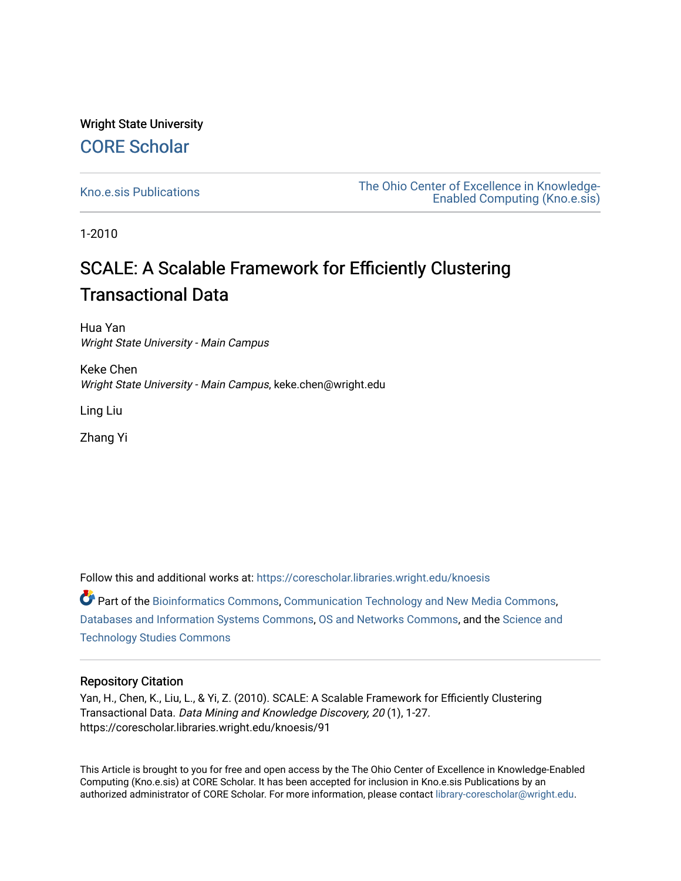# Wright State University [CORE Scholar](https://corescholar.libraries.wright.edu/)

[Kno.e.sis Publications](https://corescholar.libraries.wright.edu/knoesis) [The Ohio Center of Excellence in Knowledge-](https://corescholar.libraries.wright.edu/knoesis_comm)[Enabled Computing \(Kno.e.sis\)](https://corescholar.libraries.wright.edu/knoesis_comm) 

1-2010

# SCALE: A Scalable Framework for Efficiently Clustering Transactional Data

Hua Yan Wright State University - Main Campus

Keke Chen Wright State University - Main Campus, keke.chen@wright.edu

Ling Liu

Zhang Yi

Follow this and additional works at: [https://corescholar.libraries.wright.edu/knoesis](https://corescholar.libraries.wright.edu/knoesis?utm_source=corescholar.libraries.wright.edu%2Fknoesis%2F91&utm_medium=PDF&utm_campaign=PDFCoverPages)  Part of the [Bioinformatics Commons,](http://network.bepress.com/hgg/discipline/110?utm_source=corescholar.libraries.wright.edu%2Fknoesis%2F91&utm_medium=PDF&utm_campaign=PDFCoverPages) [Communication Technology and New Media Commons,](http://network.bepress.com/hgg/discipline/327?utm_source=corescholar.libraries.wright.edu%2Fknoesis%2F91&utm_medium=PDF&utm_campaign=PDFCoverPages) [Databases and Information Systems Commons](http://network.bepress.com/hgg/discipline/145?utm_source=corescholar.libraries.wright.edu%2Fknoesis%2F91&utm_medium=PDF&utm_campaign=PDFCoverPages), [OS and Networks Commons](http://network.bepress.com/hgg/discipline/149?utm_source=corescholar.libraries.wright.edu%2Fknoesis%2F91&utm_medium=PDF&utm_campaign=PDFCoverPages), and the [Science and](http://network.bepress.com/hgg/discipline/435?utm_source=corescholar.libraries.wright.edu%2Fknoesis%2F91&utm_medium=PDF&utm_campaign=PDFCoverPages) [Technology Studies Commons](http://network.bepress.com/hgg/discipline/435?utm_source=corescholar.libraries.wright.edu%2Fknoesis%2F91&utm_medium=PDF&utm_campaign=PDFCoverPages) 

#### Repository Citation

Yan, H., Chen, K., Liu, L., & Yi, Z. (2010). SCALE: A Scalable Framework for Efficiently Clustering Transactional Data. Data Mining and Knowledge Discovery, 20 (1), 1-27. https://corescholar.libraries.wright.edu/knoesis/91

This Article is brought to you for free and open access by the The Ohio Center of Excellence in Knowledge-Enabled Computing (Kno.e.sis) at CORE Scholar. It has been accepted for inclusion in Kno.e.sis Publications by an authorized administrator of CORE Scholar. For more information, please contact [library-corescholar@wright.edu](mailto:library-corescholar@wright.edu).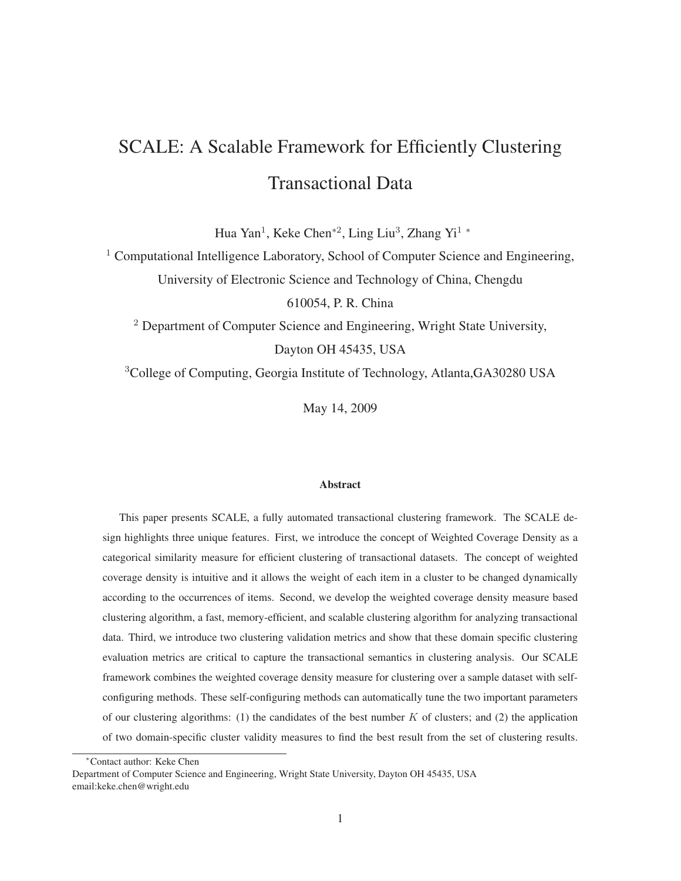# SCALE: A Scalable Framework for Efficiently Clustering Transactional Data

Hua Yan<sup>1</sup>, Keke Chen<sup>∗2</sup>, Ling Liu<sup>3</sup>, Zhang Yi<sup>1</sup> \*

<sup>1</sup> Computational Intelligence Laboratory, School of Computer Science and Engineering, University of Electronic Science and Technology of China, Chengdu 610054, P. R. China

<sup>2</sup> Department of Computer Science and Engineering, Wright State University, Dayton OH 45435, USA

<sup>3</sup>College of Computing, Georgia Institute of Technology, Atlanta,GA30280 USA

May 14, 2009

#### Abstract

This paper presents SCALE, a fully automated transactional clustering framework. The SCALE design highlights three unique features. First, we introduce the concept of Weighted Coverage Density as a categorical similarity measure for efficient clustering of transactional datasets. The concept of weighted coverage density is intuitive and it allows the weight of each item in a cluster to be changed dynamically according to the occurrences of items. Second, we develop the weighted coverage density measure based clustering algorithm, a fast, memory-efficient, and scalable clustering algorithm for analyzing transactional data. Third, we introduce two clustering validation metrics and show that these domain specific clustering evaluation metrics are critical to capture the transactional semantics in clustering analysis. Our SCALE framework combines the weighted coverage density measure for clustering over a sample dataset with selfconfiguring methods. These self-configuring methods can automatically tune the two important parameters of our clustering algorithms: (1) the candidates of the best number K of clusters; and (2) the application of two domain-specific cluster validity measures to find the best result from the set of clustering results.

<sup>∗</sup>Contact author: Keke Chen

Department of Computer Science and Engineering, Wright State University, Dayton OH 45435, USA email:keke.chen@wright.edu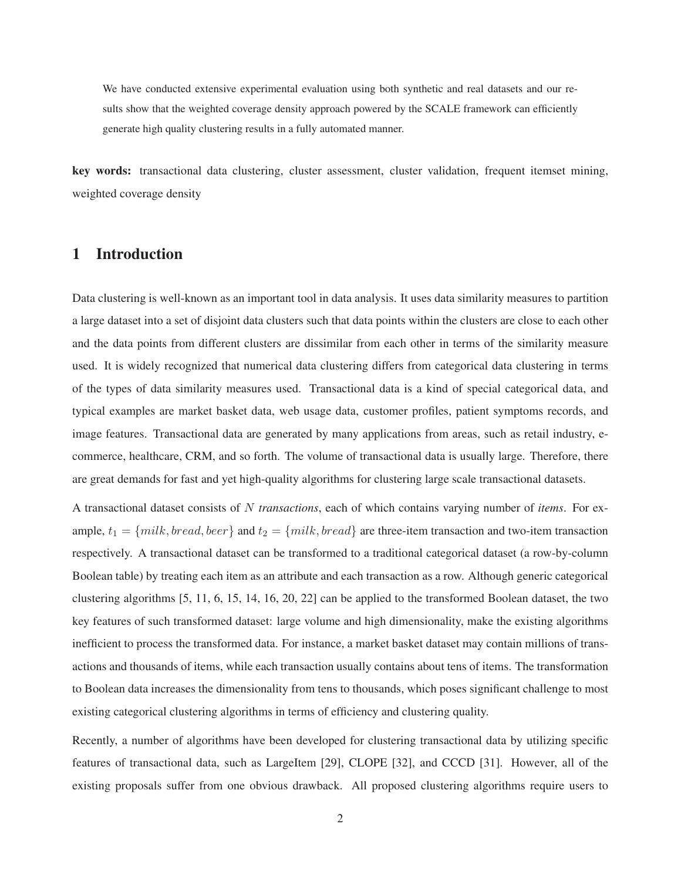We have conducted extensive experimental evaluation using both synthetic and real datasets and our results show that the weighted coverage density approach powered by the SCALE framework can efficiently generate high quality clustering results in a fully automated manner.

key words: transactional data clustering, cluster assessment, cluster validation, frequent itemset mining, weighted coverage density

# 1 Introduction

Data clustering is well-known as an important tool in data analysis. It uses data similarity measures to partition a large dataset into a set of disjoint data clusters such that data points within the clusters are close to each other and the data points from different clusters are dissimilar from each other in terms of the similarity measure used. It is widely recognized that numerical data clustering differs from categorical data clustering in terms of the types of data similarity measures used. Transactional data is a kind of special categorical data, and typical examples are market basket data, web usage data, customer profiles, patient symptoms records, and image features. Transactional data are generated by many applications from areas, such as retail industry, ecommerce, healthcare, CRM, and so forth. The volume of transactional data is usually large. Therefore, there are great demands for fast and yet high-quality algorithms for clustering large scale transactional datasets.

A transactional dataset consists of N *transactions*, each of which contains varying number of *items*. For example,  $t_1 = \{milk, bread, beer\}$  and  $t_2 = \{milk, bread\}$  are three-item transaction and two-item transaction respectively. A transactional dataset can be transformed to a traditional categorical dataset (a row-by-column Boolean table) by treating each item as an attribute and each transaction as a row. Although generic categorical clustering algorithms [5, 11, 6, 15, 14, 16, 20, 22] can be applied to the transformed Boolean dataset, the two key features of such transformed dataset: large volume and high dimensionality, make the existing algorithms inefficient to process the transformed data. For instance, a market basket dataset may contain millions of transactions and thousands of items, while each transaction usually contains about tens of items. The transformation to Boolean data increases the dimensionality from tens to thousands, which poses significant challenge to most existing categorical clustering algorithms in terms of efficiency and clustering quality.

Recently, a number of algorithms have been developed for clustering transactional data by utilizing specific features of transactional data, such as LargeItem [29], CLOPE [32], and CCCD [31]. However, all of the existing proposals suffer from one obvious drawback. All proposed clustering algorithms require users to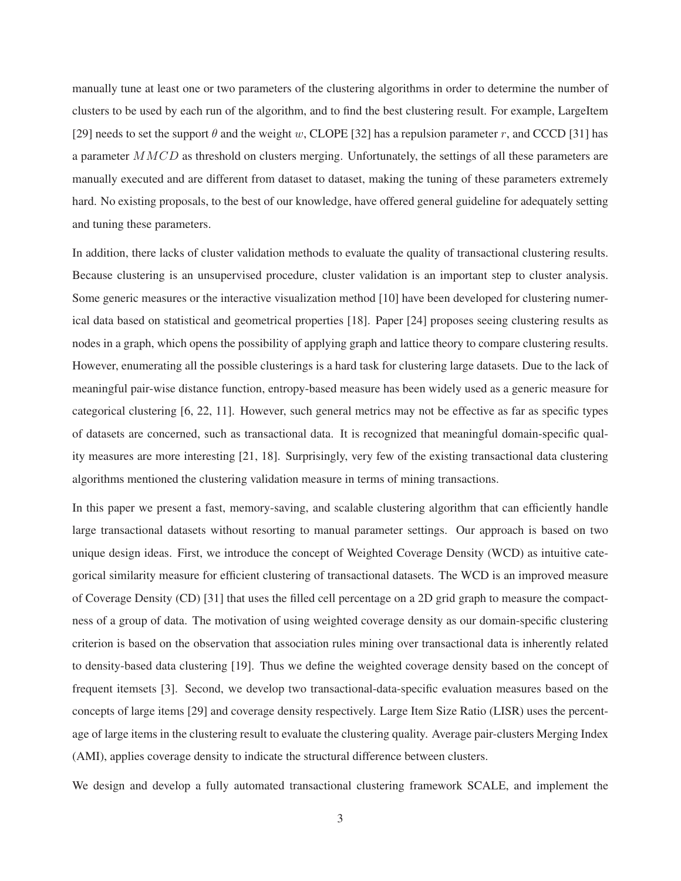manually tune at least one or two parameters of the clustering algorithms in order to determine the number of clusters to be used by each run of the algorithm, and to find the best clustering result. For example, LargeItem [29] needs to set the support  $\theta$  and the weight w, CLOPE [32] has a repulsion parameter r, and CCCD [31] has a parameter  $M MCD$  as threshold on clusters merging. Unfortunately, the settings of all these parameters are manually executed and are different from dataset to dataset, making the tuning of these parameters extremely hard. No existing proposals, to the best of our knowledge, have offered general guideline for adequately setting and tuning these parameters.

In addition, there lacks of cluster validation methods to evaluate the quality of transactional clustering results. Because clustering is an unsupervised procedure, cluster validation is an important step to cluster analysis. Some generic measures or the interactive visualization method [10] have been developed for clustering numerical data based on statistical and geometrical properties [18]. Paper [24] proposes seeing clustering results as nodes in a graph, which opens the possibility of applying graph and lattice theory to compare clustering results. However, enumerating all the possible clusterings is a hard task for clustering large datasets. Due to the lack of meaningful pair-wise distance function, entropy-based measure has been widely used as a generic measure for categorical clustering [6, 22, 11]. However, such general metrics may not be effective as far as specific types of datasets are concerned, such as transactional data. It is recognized that meaningful domain-specific quality measures are more interesting [21, 18]. Surprisingly, very few of the existing transactional data clustering algorithms mentioned the clustering validation measure in terms of mining transactions.

In this paper we present a fast, memory-saving, and scalable clustering algorithm that can efficiently handle large transactional datasets without resorting to manual parameter settings. Our approach is based on two unique design ideas. First, we introduce the concept of Weighted Coverage Density (WCD) as intuitive categorical similarity measure for efficient clustering of transactional datasets. The WCD is an improved measure of Coverage Density (CD) [31] that uses the filled cell percentage on a 2D grid graph to measure the compactness of a group of data. The motivation of using weighted coverage density as our domain-specific clustering criterion is based on the observation that association rules mining over transactional data is inherently related to density-based data clustering [19]. Thus we define the weighted coverage density based on the concept of frequent itemsets [3]. Second, we develop two transactional-data-specific evaluation measures based on the concepts of large items [29] and coverage density respectively. Large Item Size Ratio (LISR) uses the percentage of large items in the clustering result to evaluate the clustering quality. Average pair-clusters Merging Index (AMI), applies coverage density to indicate the structural difference between clusters.

We design and develop a fully automated transactional clustering framework SCALE, and implement the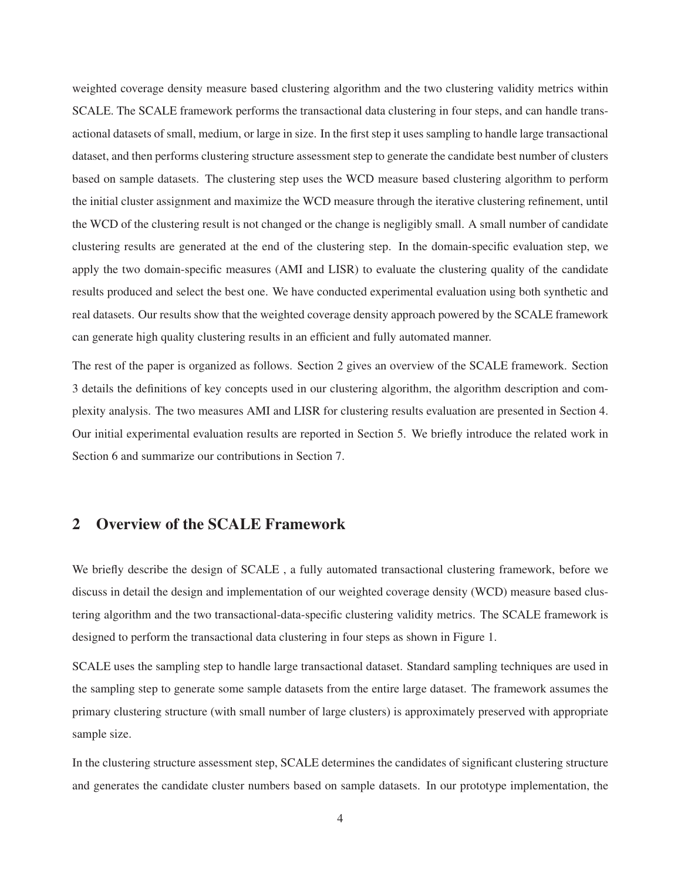weighted coverage density measure based clustering algorithm and the two clustering validity metrics within SCALE. The SCALE framework performs the transactional data clustering in four steps, and can handle transactional datasets of small, medium, or large in size. In the first step it uses sampling to handle large transactional dataset, and then performs clustering structure assessment step to generate the candidate best number of clusters based on sample datasets. The clustering step uses the WCD measure based clustering algorithm to perform the initial cluster assignment and maximize the WCD measure through the iterative clustering refinement, until the WCD of the clustering result is not changed or the change is negligibly small. A small number of candidate clustering results are generated at the end of the clustering step. In the domain-specific evaluation step, we apply the two domain-specific measures (AMI and LISR) to evaluate the clustering quality of the candidate results produced and select the best one. We have conducted experimental evaluation using both synthetic and real datasets. Our results show that the weighted coverage density approach powered by the SCALE framework can generate high quality clustering results in an efficient and fully automated manner.

The rest of the paper is organized as follows. Section 2 gives an overview of the SCALE framework. Section 3 details the definitions of key concepts used in our clustering algorithm, the algorithm description and complexity analysis. The two measures AMI and LISR for clustering results evaluation are presented in Section 4. Our initial experimental evaluation results are reported in Section 5. We briefly introduce the related work in Section 6 and summarize our contributions in Section 7.

## 2 Overview of the SCALE Framework

We briefly describe the design of SCALE , a fully automated transactional clustering framework, before we discuss in detail the design and implementation of our weighted coverage density (WCD) measure based clustering algorithm and the two transactional-data-specific clustering validity metrics. The SCALE framework is designed to perform the transactional data clustering in four steps as shown in Figure 1.

SCALE uses the sampling step to handle large transactional dataset. Standard sampling techniques are used in the sampling step to generate some sample datasets from the entire large dataset. The framework assumes the primary clustering structure (with small number of large clusters) is approximately preserved with appropriate sample size.

In the clustering structure assessment step, SCALE determines the candidates of significant clustering structure and generates the candidate cluster numbers based on sample datasets. In our prototype implementation, the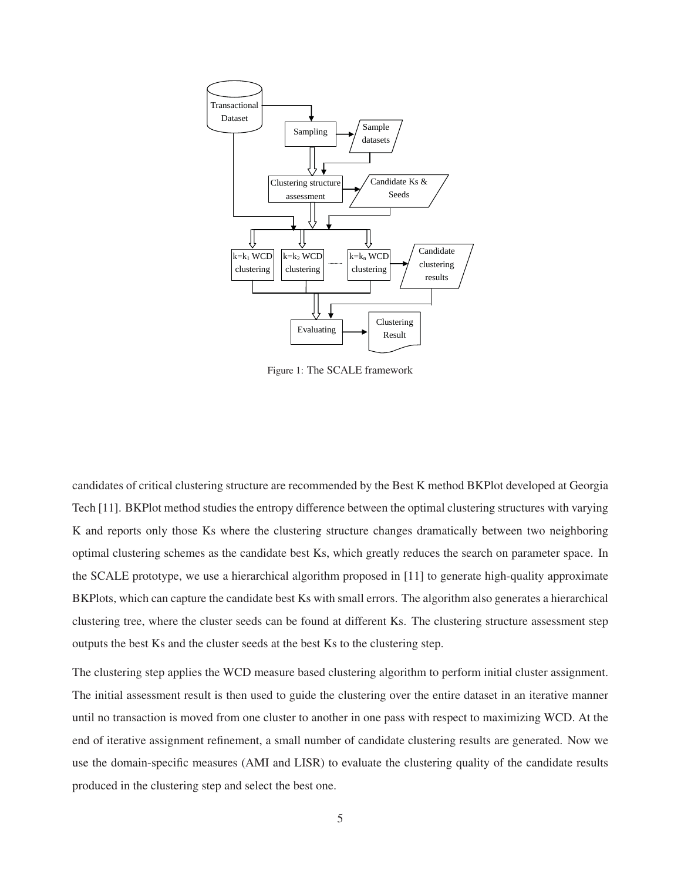

Figure 1: The SCALE framework

candidates of critical clustering structure are recommended by the Best K method BKPlot developed at Georgia Tech [11]. BKPlot method studies the entropy difference between the optimal clustering structures with varying K and reports only those Ks where the clustering structure changes dramatically between two neighboring optimal clustering schemes as the candidate best Ks, which greatly reduces the search on parameter space. In the SCALE prototype, we use a hierarchical algorithm proposed in [11] to generate high-quality approximate BKPlots, which can capture the candidate best Ks with small errors. The algorithm also generates a hierarchical clustering tree, where the cluster seeds can be found at different Ks. The clustering structure assessment step outputs the best Ks and the cluster seeds at the best Ks to the clustering step.

The clustering step applies the WCD measure based clustering algorithm to perform initial cluster assignment. The initial assessment result is then used to guide the clustering over the entire dataset in an iterative manner until no transaction is moved from one cluster to another in one pass with respect to maximizing WCD. At the end of iterative assignment refinement, a small number of candidate clustering results are generated. Now we use the domain-specific measures (AMI and LISR) to evaluate the clustering quality of the candidate results produced in the clustering step and select the best one.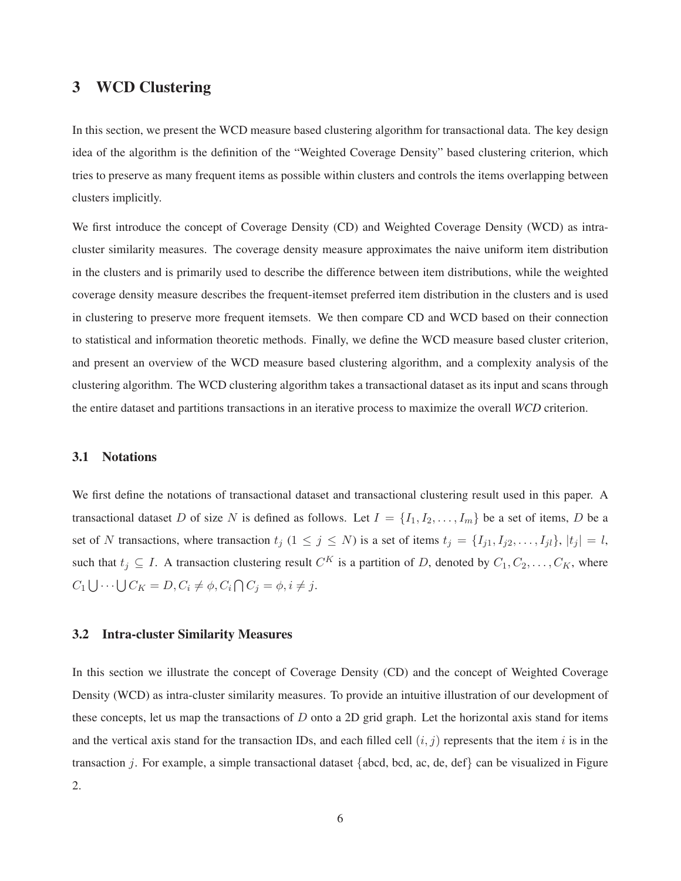# 3 WCD Clustering

In this section, we present the WCD measure based clustering algorithm for transactional data. The key design idea of the algorithm is the definition of the "Weighted Coverage Density" based clustering criterion, which tries to preserve as many frequent items as possible within clusters and controls the items overlapping between clusters implicitly.

We first introduce the concept of Coverage Density (CD) and Weighted Coverage Density (WCD) as intracluster similarity measures. The coverage density measure approximates the naive uniform item distribution in the clusters and is primarily used to describe the difference between item distributions, while the weighted coverage density measure describes the frequent-itemset preferred item distribution in the clusters and is used in clustering to preserve more frequent itemsets. We then compare CD and WCD based on their connection to statistical and information theoretic methods. Finally, we define the WCD measure based cluster criterion, and present an overview of the WCD measure based clustering algorithm, and a complexity analysis of the clustering algorithm. The WCD clustering algorithm takes a transactional dataset as its input and scans through the entire dataset and partitions transactions in an iterative process to maximize the overall *WCD* criterion.

#### 3.1 Notations

We first define the notations of transactional dataset and transactional clustering result used in this paper. A transactional dataset D of size N is defined as follows. Let  $I = \{I_1, I_2, \ldots, I_m\}$  be a set of items, D be a set of N transactions, where transaction  $t_j$  ( $1 \le j \le N$ ) is a set of items  $t_j = \{I_{j1}, I_{j2}, \ldots, I_{jl}\}, |t_j| = l$ , such that  $t_j \subseteq I$ . A transaction clustering result  $C^K$  is a partition of D, denoted by  $C_1, C_2, \ldots, C_K$ , where  $C_1 \bigcup \cdots \bigcup C_K = D, C_i \neq \phi, C_i \bigcap C_j = \phi, i \neq j.$ 

#### 3.2 Intra-cluster Similarity Measures

In this section we illustrate the concept of Coverage Density (CD) and the concept of Weighted Coverage Density (WCD) as intra-cluster similarity measures. To provide an intuitive illustration of our development of these concepts, let us map the transactions of  $D$  onto a 2D grid graph. Let the horizontal axis stand for items and the vertical axis stand for the transaction IDs, and each filled cell  $(i, j)$  represents that the item i is in the transaction j. For example, a simple transactional dataset {abcd, bcd, ac, de, def} can be visualized in Figure 2.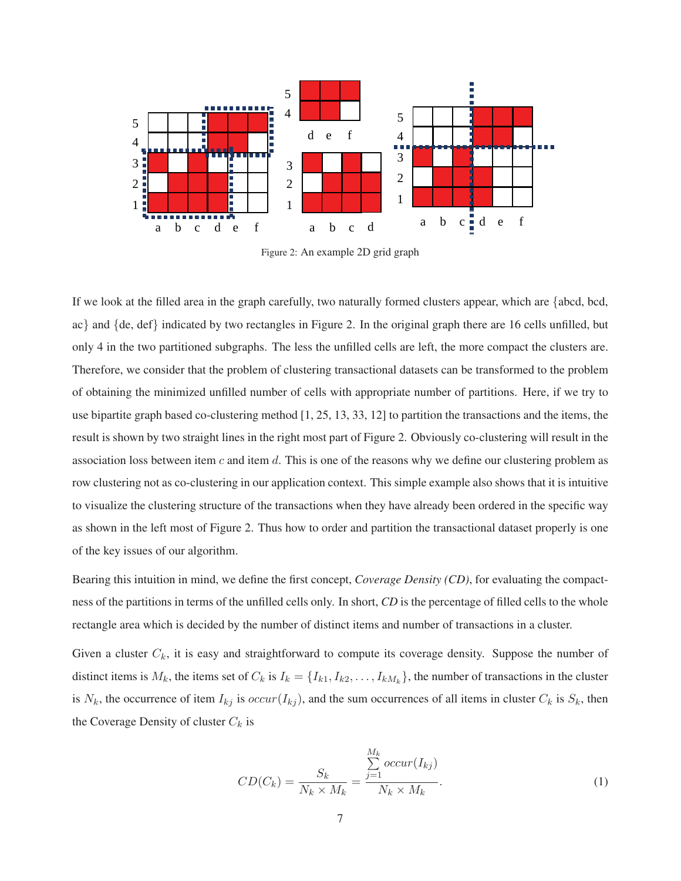

Figure 2: An example 2D grid graph

If we look at the filled area in the graph carefully, two naturally formed clusters appear, which are {abcd, bcd, ac} and {de, def} indicated by two rectangles in Figure 2. In the original graph there are 16 cells unfilled, but only 4 in the two partitioned subgraphs. The less the unfilled cells are left, the more compact the clusters are. Therefore, we consider that the problem of clustering transactional datasets can be transformed to the problem of obtaining the minimized unfilled number of cells with appropriate number of partitions. Here, if we try to use bipartite graph based co-clustering method [1, 25, 13, 33, 12] to partition the transactions and the items, the result is shown by two straight lines in the right most part of Figure 2. Obviously co-clustering will result in the association loss between item c and item d. This is one of the reasons why we define our clustering problem as row clustering not as co-clustering in our application context. This simple example also shows that it is intuitive to visualize the clustering structure of the transactions when they have already been ordered in the specific way as shown in the left most of Figure 2. Thus how to order and partition the transactional dataset properly is one of the key issues of our algorithm.

Bearing this intuition in mind, we define the first concept, *Coverage Density (CD)*, for evaluating the compactness of the partitions in terms of the unfilled cells only. In short, *CD* is the percentage of filled cells to the whole rectangle area which is decided by the number of distinct items and number of transactions in a cluster.

Given a cluster  $C_k$ , it is easy and straightforward to compute its coverage density. Suppose the number of distinct items is  $M_k$ , the items set of  $C_k$  is  $I_k = \{I_{k1}, I_{k2}, \ldots, I_{kM_k}\}$ , the number of transactions in the cluster is  $N_k$ , the occurrence of item  $I_{kj}$  is  $occur(I_{kj})$ , and the sum occurrences of all items in cluster  $C_k$  is  $S_k$ , then the Coverage Density of cluster  $C_k$  is

$$
CD(C_k) = \frac{S_k}{N_k \times M_k} = \frac{\sum_{j=1}^{M_k} occur(I_{kj})}{N_k \times M_k}.
$$
\n(1)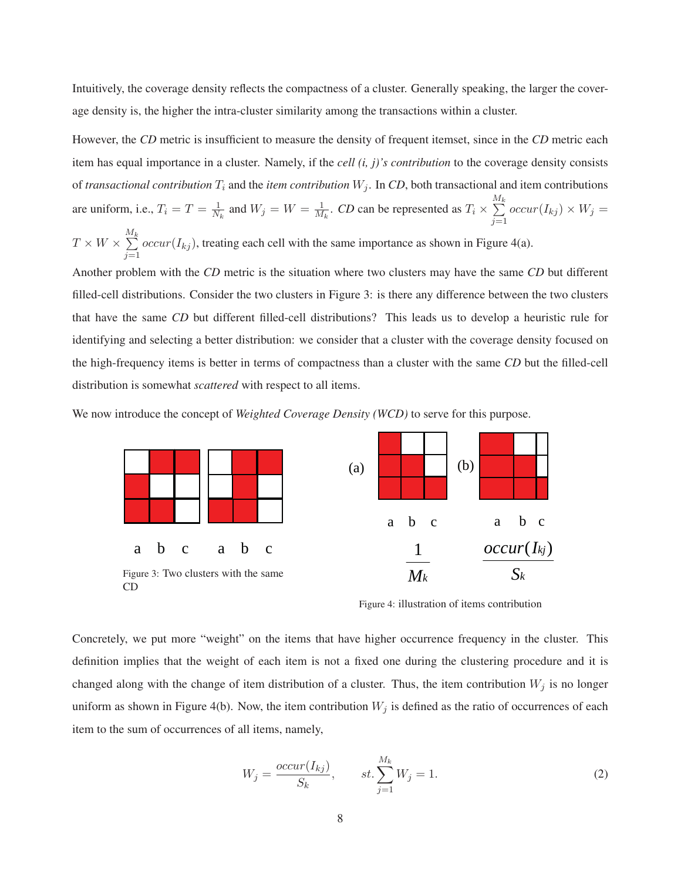Intuitively, the coverage density reflects the compactness of a cluster. Generally speaking, the larger the coverage density is, the higher the intra-cluster similarity among the transactions within a cluster.

However, the *CD* metric is insufficient to measure the density of frequent itemset, since in the *CD* metric each item has equal importance in a cluster. Namely, if the *cell (i, j)'s contribution* to the coverage density consists of *transactional contribution*  $T_i$  and the *item contribution*  $W_j$ . In CD, both transactional and item contributions are uniform, i.e.,  $T_i = T = \frac{1}{N_k}$  and  $W_j = W = \frac{1}{M_k}$ . *CD* can be represented as  $T_i \times \sum_{j=1}^{M_k}$  $\sum_{j=1}^{n}$  occur $(I_{kj}) \times W_j =$  $T \times W \times \sum^{M_k}$  $\sum_{j=1}^{16} \rho c \, \text{curl}(I_{kj})$ , treating each cell with the same importance as shown in Figure 4(a).

Another problem with the *CD* metric is the situation where two clusters may have the same *CD* but different filled-cell distributions. Consider the two clusters in Figure 3: is there any difference between the two clusters that have the same *CD* but different filled-cell distributions? This leads us to develop a heuristic rule for identifying and selecting a better distribution: we consider that a cluster with the coverage density focused on the high-frequency items is better in terms of compactness than a cluster with the same *CD* but the filled-cell distribution is somewhat *scattered* with respect to all items.

We now introduce the concept of *Weighted Coverage Density (WCD)* to serve for this purpose.



Figure 4: illustration of items contribution

Concretely, we put more "weight" on the items that have higher occurrence frequency in the cluster. This definition implies that the weight of each item is not a fixed one during the clustering procedure and it is changed along with the change of item distribution of a cluster. Thus, the item contribution  $W_j$  is no longer uniform as shown in Figure 4(b). Now, the item contribution  $W_j$  is defined as the ratio of occurrences of each item to the sum of occurrences of all items, namely,

$$
W_j = \frac{occur(I_{kj})}{S_k}, \qquad st. \sum_{j=1}^{M_k} W_j = 1.
$$
 (2)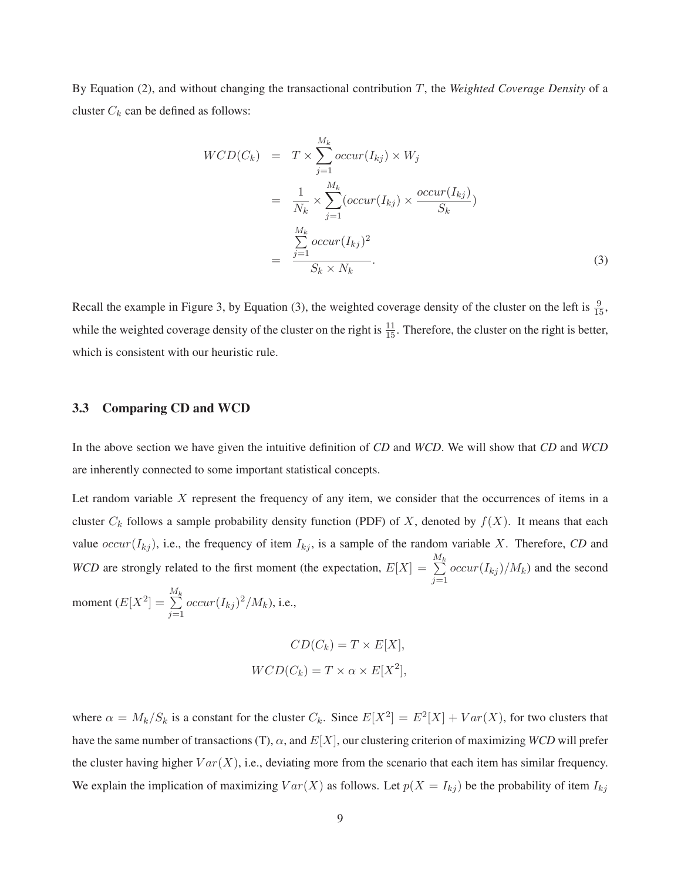By Equation (2), and without changing the transactional contribution T, the *Weighted Coverage Density* of a cluster  $C_k$  can be defined as follows:

$$
WCD(C_k) = T \times \sum_{j=1}^{M_k} occur(I_{kj}) \times W_j
$$
  
= 
$$
\frac{1}{N_k} \times \sum_{j=1}^{M_k} (occur(I_{kj}) \times \frac{occur(I_{kj})}{S_k})
$$
  
= 
$$
\frac{\sum_{j=1}^{M_k} occur(I_{kj})^2}{S_k \times N_k}.
$$
 (3)

Recall the example in Figure 3, by Equation (3), the weighted coverage density of the cluster on the left is  $\frac{9}{15}$ , while the weighted coverage density of the cluster on the right is  $\frac{11}{15}$ . Therefore, the cluster on the right is better, which is consistent with our heuristic rule.

#### 3.3 Comparing CD and WCD

In the above section we have given the intuitive definition of *CD* and *WCD*. We will show that *CD* and *WCD* are inherently connected to some important statistical concepts.

Let random variable X represent the frequency of any item, we consider that the occurrences of items in a cluster  $C_k$  follows a sample probability density function (PDF) of X, denoted by  $f(X)$ . It means that each value  $occur(I_{kj})$ , i.e., the frequency of item  $I_{kj}$ , is a sample of the random variable X. Therefore, *CD* and *WCD* are strongly related to the first moment (the expectation,  $E[X] = \sum_{j=1}^{M_k}$  $\sum_{j=1}^{k}occur(I_{kj})/M_k$ ) and the second

moment  $(E[X^2] = \sum_{j=1}^{M_k}$  $\sum_{j=1}^{10} \, \text{occur}(I_{kj})^2 / M_k$ ), i.e.,

$$
CD(C_k) = T \times E[X],
$$
  
 
$$
WCD(C_k) = T \times \alpha \times E[X^2],
$$

where  $\alpha = M_k/S_k$  is a constant for the cluster  $C_k$ . Since  $E[X^2] = E^2[X] + Var(X)$ , for two clusters that have the same number of transactions (T),  $\alpha$ , and  $E[X]$ , our clustering criterion of maximizing *WCD* will prefer the cluster having higher  $Var(X)$ , i.e., deviating more from the scenario that each item has similar frequency. We explain the implication of maximizing  $Var(X)$  as follows. Let  $p(X = I_{kj})$  be the probability of item  $I_{kj}$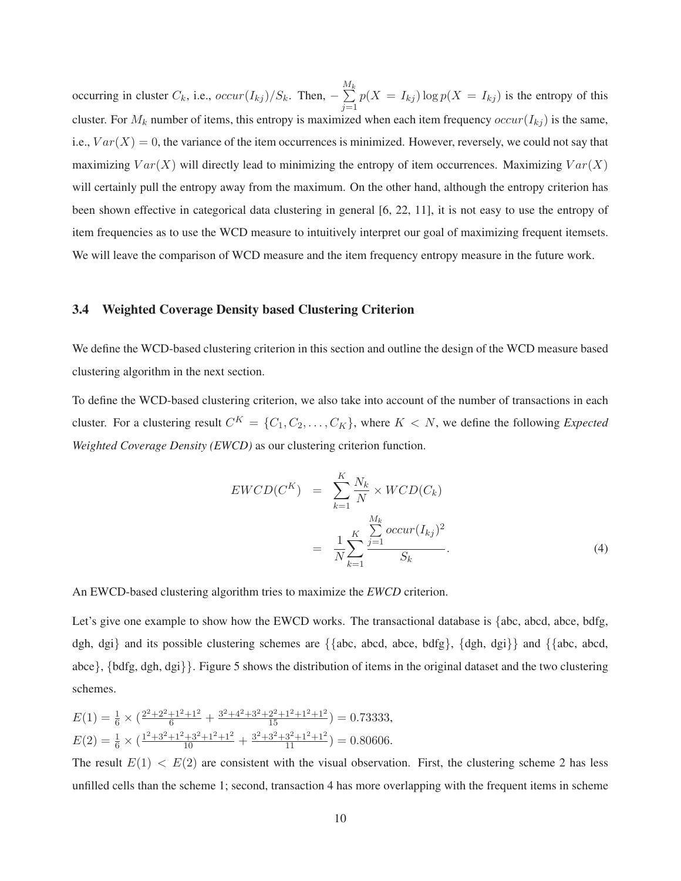occurring in cluster  $C_k$ , i.e.,  $occur(I_{kj})/S_k$ . Then,  $-\sum_{j=1}^{M_k}$  $\sum_{j=1}^{k} p(X = I_{kj}) \log p(X = I_{kj})$  is the entropy of this cluster. For  $M_k$  number of items, this entropy is maximized when each item frequency  $occur(I_{kj})$  is the same, i.e.,  $Var(X)=0$ , the variance of the item occurrences is minimized. However, reversely, we could not say that maximizing  $Var(X)$  will directly lead to minimizing the entropy of item occurrences. Maximizing  $Var(X)$ will certainly pull the entropy away from the maximum. On the other hand, although the entropy criterion has been shown effective in categorical data clustering in general [6, 22, 11], it is not easy to use the entropy of item frequencies as to use the WCD measure to intuitively interpret our goal of maximizing frequent itemsets. We will leave the comparison of WCD measure and the item frequency entropy measure in the future work.

#### 3.4 Weighted Coverage Density based Clustering Criterion

We define the WCD-based clustering criterion in this section and outline the design of the WCD measure based clustering algorithm in the next section.

To define the WCD-based clustering criterion, we also take into account of the number of transactions in each cluster. For a clustering result  $C^K = \{C_1, C_2, \ldots, C_K\}$ , where  $K < N$ , we define the following *Expected Weighted Coverage Density (EWCD)* as our clustering criterion function.

$$
EWCD(C^{K}) = \sum_{k=1}^{K} \frac{N_k}{N} \times WCD(C_k)
$$

$$
= \frac{1}{N} \sum_{k=1}^{K} \frac{\sum_{j=1}^{M_k} occur(I_{kj})^2}{S_k}.
$$
(4)

An EWCD-based clustering algorithm tries to maximize the *EWCD* criterion.

Let's give one example to show how the EWCD works. The transactional database is {abc, abcd, abce, bdfg, dgh, dgi} and its possible clustering schemes are  $\{\{\text{abc}, \text{abcd}, \text{abc}, \text{bdfg}\}, \{\text{dgh}, \text{dgi}\}\$  and  $\{\{\text{abc}, \text{abcd}, \text{abcd}\}$ abce},  $\{bdfg, dgh, dgi\}$ . Figure 5 shows the distribution of items in the original dataset and the two clustering schemes.

$$
E(1) = \frac{1}{6} \times \left(\frac{2^2 + 2^2 + 1^2 + 1^2}{6} + \frac{3^2 + 4^2 + 3^2 + 2^2 + 1^2 + 1^2 + 1^2}{15}\right) = 0.73333,
$$
  
\n
$$
E(2) = \frac{1}{6} \times \left(\frac{1^2 + 3^2 + 1^2 + 3^2 + 1^2 + 1^2}{10} + \frac{3^2 + 3^2 + 3^2 + 1^2 + 1^2}{11}\right) = 0.80606.
$$

The result  $E(1) < E(2)$  are consistent with the visual observation. First, the clustering scheme 2 has less unfilled cells than the scheme 1; second, transaction 4 has more overlapping with the frequent items in scheme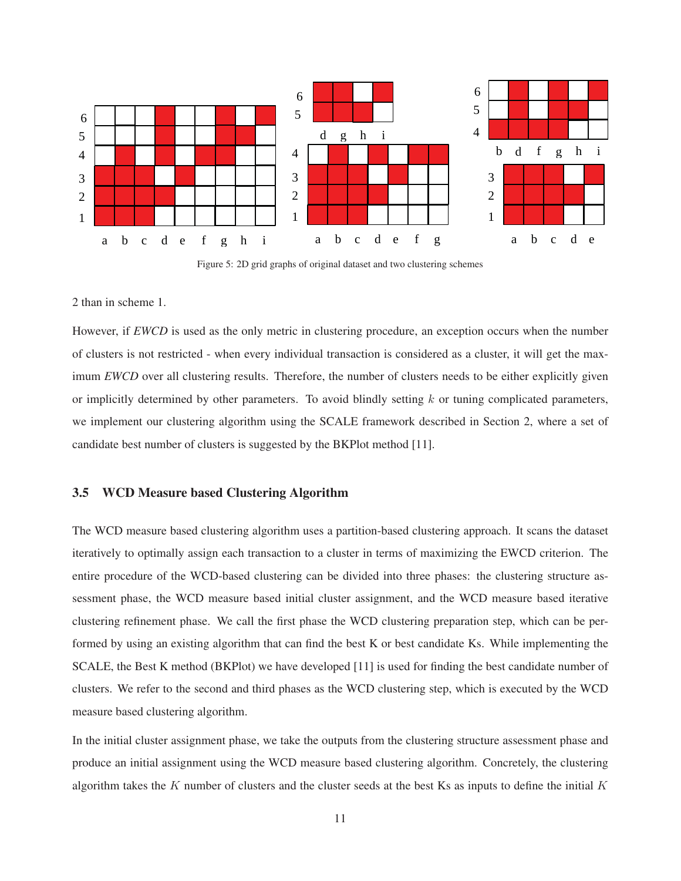

Figure 5: 2D grid graphs of original dataset and two clustering schemes

2 than in scheme 1.

However, if *EWCD* is used as the only metric in clustering procedure, an exception occurs when the number of clusters is not restricted - when every individual transaction is considered as a cluster, it will get the maximum *EWCD* over all clustering results. Therefore, the number of clusters needs to be either explicitly given or implicitly determined by other parameters. To avoid blindly setting  $k$  or tuning complicated parameters, we implement our clustering algorithm using the SCALE framework described in Section 2, where a set of candidate best number of clusters is suggested by the BKPlot method [11].

#### 3.5 WCD Measure based Clustering Algorithm

The WCD measure based clustering algorithm uses a partition-based clustering approach. It scans the dataset iteratively to optimally assign each transaction to a cluster in terms of maximizing the EWCD criterion. The entire procedure of the WCD-based clustering can be divided into three phases: the clustering structure assessment phase, the WCD measure based initial cluster assignment, and the WCD measure based iterative clustering refinement phase. We call the first phase the WCD clustering preparation step, which can be performed by using an existing algorithm that can find the best K or best candidate Ks. While implementing the SCALE, the Best K method (BKPlot) we have developed [11] is used for finding the best candidate number of clusters. We refer to the second and third phases as the WCD clustering step, which is executed by the WCD measure based clustering algorithm.

In the initial cluster assignment phase, we take the outputs from the clustering structure assessment phase and produce an initial assignment using the WCD measure based clustering algorithm. Concretely, the clustering algorithm takes the K number of clusters and the cluster seeds at the best Ks as inputs to define the initial  $K$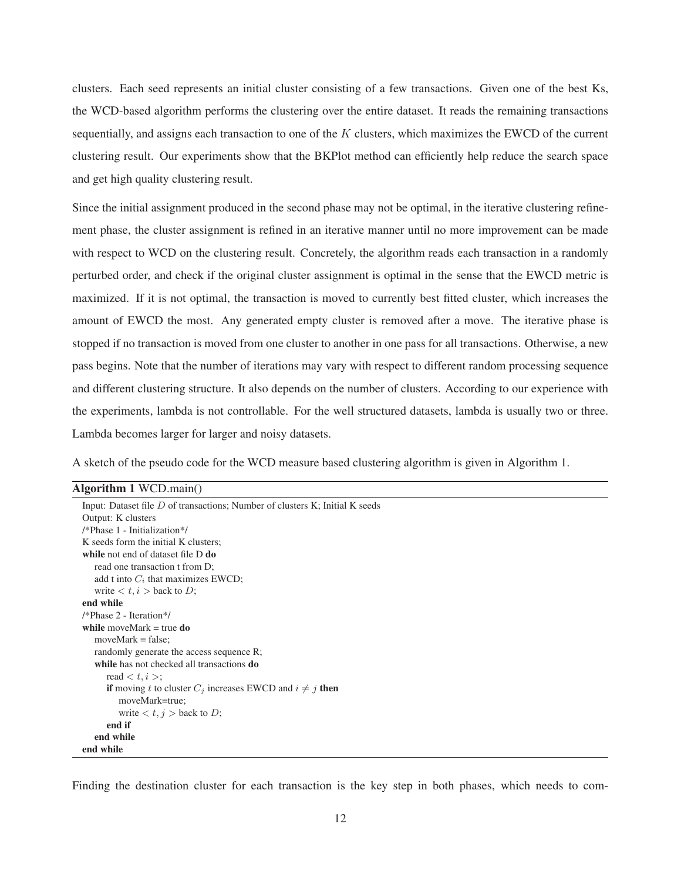clusters. Each seed represents an initial cluster consisting of a few transactions. Given one of the best Ks, the WCD-based algorithm performs the clustering over the entire dataset. It reads the remaining transactions sequentially, and assigns each transaction to one of the  $K$  clusters, which maximizes the EWCD of the current clustering result. Our experiments show that the BKPlot method can efficiently help reduce the search space and get high quality clustering result.

Since the initial assignment produced in the second phase may not be optimal, in the iterative clustering refinement phase, the cluster assignment is refined in an iterative manner until no more improvement can be made with respect to WCD on the clustering result. Concretely, the algorithm reads each transaction in a randomly perturbed order, and check if the original cluster assignment is optimal in the sense that the EWCD metric is maximized. If it is not optimal, the transaction is moved to currently best fitted cluster, which increases the amount of EWCD the most. Any generated empty cluster is removed after a move. The iterative phase is stopped if no transaction is moved from one cluster to another in one pass for all transactions. Otherwise, a new pass begins. Note that the number of iterations may vary with respect to different random processing sequence and different clustering structure. It also depends on the number of clusters. According to our experience with the experiments, lambda is not controllable. For the well structured datasets, lambda is usually two or three. Lambda becomes larger for larger and noisy datasets.

A sketch of the pseudo code for the WCD measure based clustering algorithm is given in Algorithm 1.

#### Algorithm 1 WCD.main()

Input: Dataset file D of transactions; Number of clusters K; Initial K seeds Output: K clusters /\*Phase 1 - Initialization\*/ K seeds form the initial K clusters; while not end of dataset file D do read one transaction t from D; add t into  $C_i$  that maximizes EWCD; write  $\langle t, i \rangle$  back to D: end while /\*Phase 2 - Iteration\*/ while move $Mark = true$  do  $moveMark = false;$ randomly generate the access sequence R; while has not checked all transactions **do** read  $\lt t, i \gt$ ; **if** moving t to cluster  $C_j$  increases EWCD and  $i \neq j$  then moveMark=true; write  $\langle t, j \rangle$  back to D; end if end while end while

Finding the destination cluster for each transaction is the key step in both phases, which needs to com-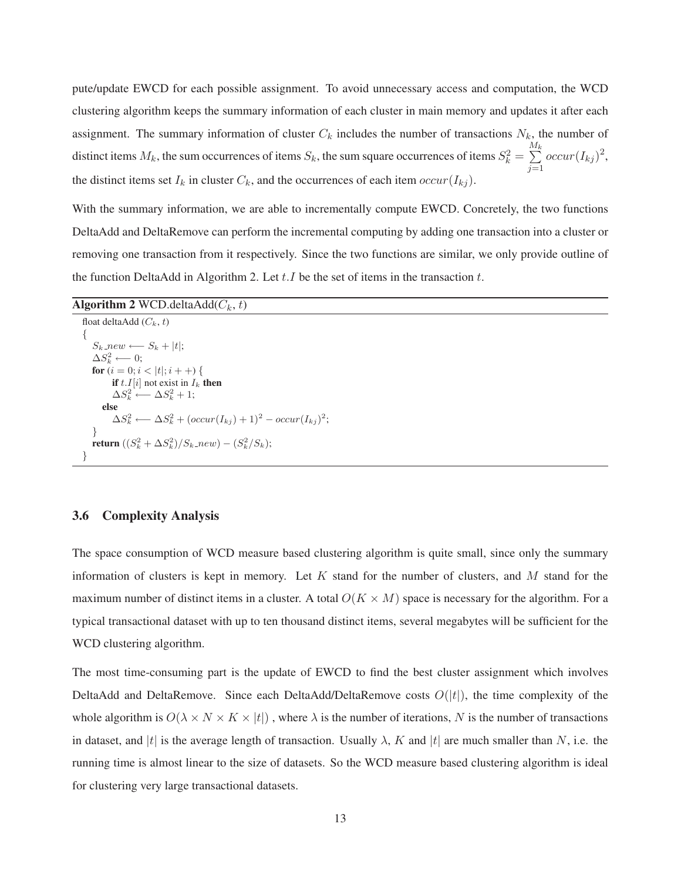pute/update EWCD for each possible assignment. To avoid unnecessary access and computation, the WCD clustering algorithm keeps the summary information of each cluster in main memory and updates it after each assignment. The summary information of cluster  $C_k$  includes the number of transactions  $N_k$ , the number of distinct items  $M_k$ , the sum occurrences of items  $S_k$ , the sum square occurrences of items  $S_k^2 = \sum_{j=1}^{M_k}$  $\sum_{j=1}^{n}$  occur $(I_{kj})^2$ , the distinct items set  $I_k$  in cluster  $C_k$ , and the occurrences of each item  $occur(I_{kj})$ .

With the summary information, we are able to incrementally compute EWCD. Concretely, the two functions DeltaAdd and DeltaRemove can perform the incremental computing by adding one transaction into a cluster or removing one transaction from it respectively. Since the two functions are similar, we only provide outline of the function DeltaAdd in Algorithm 2. Let  $t$ . I be the set of items in the transaction  $t$ .

Algorithm 2 WCD.deltaAdd $(C_k, t)$ 

```
float deltaAdd (C_k, t){
   S_k_new ← S_k + |t|;
   \Delta S_k^2 \longleftarrow 0;for (i = 0; i < |t|; i++) {
          if t.I[i] not exist in I_k then
          \Delta S_k^2 \longleftarrow \Delta S_k^2 + 1;else
          \Delta S_k^2 \leftarrow \Delta S_k^2 + (occur(I_{kj}) + 1)^2 - occur(I_{kj})^2;}<br>return ((S_k^2 + \Delta S_k^2)/S_k_new) − (S_k^2/S_k);
}
```
#### 3.6 Complexity Analysis

The space consumption of WCD measure based clustering algorithm is quite small, since only the summary information of clusters is kept in memory. Let K stand for the number of clusters, and M stand for the maximum number of distinct items in a cluster. A total  $O(K \times M)$  space is necessary for the algorithm. For a typical transactional dataset with up to ten thousand distinct items, several megabytes will be sufficient for the WCD clustering algorithm.

The most time-consuming part is the update of EWCD to find the best cluster assignment which involves DeltaAdd and DeltaRemove. Since each DeltaAdd/DeltaRemove costs  $O(|t|)$ , the time complexity of the whole algorithm is  $O(\lambda \times N \times K \times |t|)$ , where  $\lambda$  is the number of iterations, N is the number of transactions in dataset, and |t| is the average length of transaction. Usually  $\lambda$ , K and |t| are much smaller than N, i.e. the running time is almost linear to the size of datasets. So the WCD measure based clustering algorithm is ideal for clustering very large transactional datasets.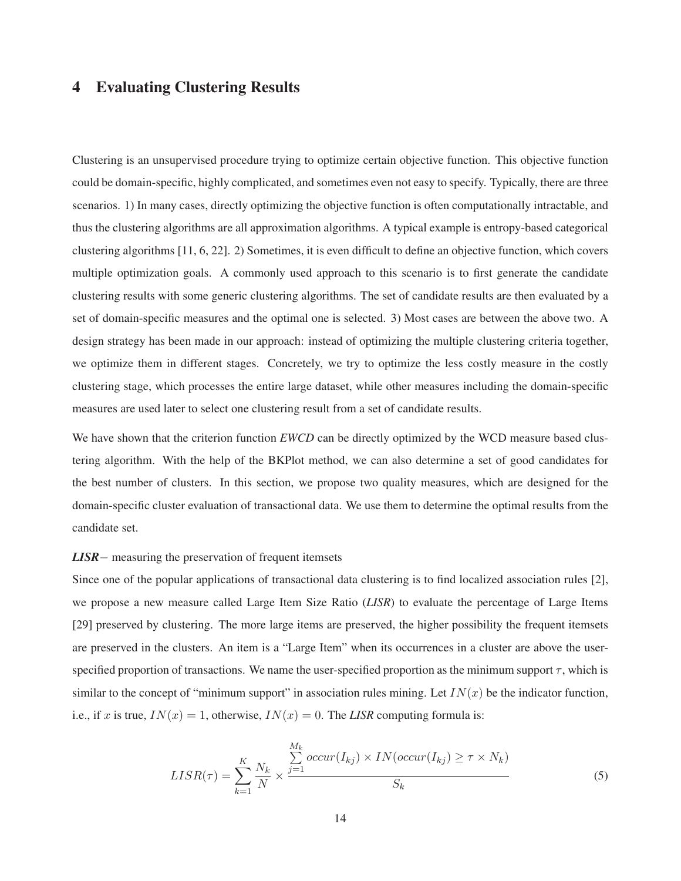# 4 Evaluating Clustering Results

Clustering is an unsupervised procedure trying to optimize certain objective function. This objective function could be domain-specific, highly complicated, and sometimes even not easy to specify. Typically, there are three scenarios. 1) In many cases, directly optimizing the objective function is often computationally intractable, and thus the clustering algorithms are all approximation algorithms. A typical example is entropy-based categorical clustering algorithms [11, 6, 22]. 2) Sometimes, it is even difficult to define an objective function, which covers multiple optimization goals. A commonly used approach to this scenario is to first generate the candidate clustering results with some generic clustering algorithms. The set of candidate results are then evaluated by a set of domain-specific measures and the optimal one is selected. 3) Most cases are between the above two. A design strategy has been made in our approach: instead of optimizing the multiple clustering criteria together, we optimize them in different stages. Concretely, we try to optimize the less costly measure in the costly clustering stage, which processes the entire large dataset, while other measures including the domain-specific measures are used later to select one clustering result from a set of candidate results.

We have shown that the criterion function *EWCD* can be directly optimized by the WCD measure based clustering algorithm. With the help of the BKPlot method, we can also determine a set of good candidates for the best number of clusters. In this section, we propose two quality measures, which are designed for the domain-specific cluster evaluation of transactional data. We use them to determine the optimal results from the candidate set.

#### *LISR*− measuring the preservation of frequent itemsets

Since one of the popular applications of transactional data clustering is to find localized association rules [2], we propose a new measure called Large Item Size Ratio (*LISR*) to evaluate the percentage of Large Items [29] preserved by clustering. The more large items are preserved, the higher possibility the frequent itemsets are preserved in the clusters. An item is a "Large Item" when its occurrences in a cluster are above the userspecified proportion of transactions. We name the user-specified proportion as the minimum support  $\tau$ , which is similar to the concept of "minimum support" in association rules mining. Let  $IN(x)$  be the indicator function, i.e., if x is true,  $IN(x)=1$ , otherwise,  $IN(x)=0$ . The *LISR* computing formula is:

$$
LISR(\tau) = \sum_{k=1}^{K} \frac{N_k}{N} \times \frac{\sum_{j=1}^{M_k} occur(I_{kj}) \times IN(occur(I_{kj}) \ge \tau \times N_k)}{S_k}
$$
(5)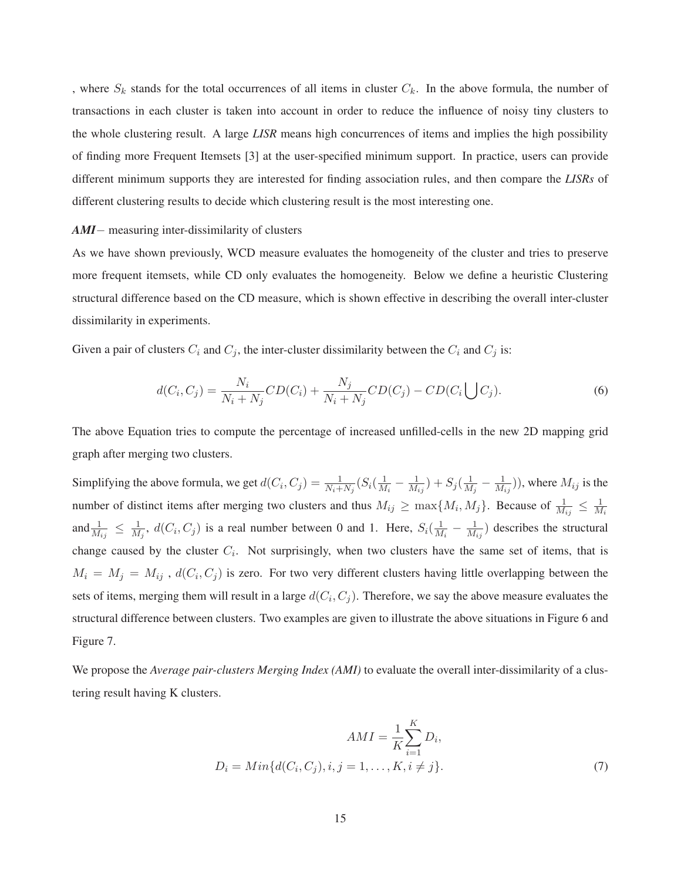, where  $S_k$  stands for the total occurrences of all items in cluster  $C_k$ . In the above formula, the number of transactions in each cluster is taken into account in order to reduce the influence of noisy tiny clusters to the whole clustering result. A large *LISR* means high concurrences of items and implies the high possibility of finding more Frequent Itemsets [3] at the user-specified minimum support. In practice, users can provide different minimum supports they are interested for finding association rules, and then compare the *LISRs* of different clustering results to decide which clustering result is the most interesting one.

#### *AMI*− measuring inter-dissimilarity of clusters

As we have shown previously, WCD measure evaluates the homogeneity of the cluster and tries to preserve more frequent itemsets, while CD only evaluates the homogeneity. Below we define a heuristic Clustering structural difference based on the CD measure, which is shown effective in describing the overall inter-cluster dissimilarity in experiments.

Given a pair of clusters  $C_i$  and  $C_j$ , the inter-cluster dissimilarity between the  $C_i$  and  $C_j$  is:

$$
d(C_i, C_j) = \frac{N_i}{N_i + N_j} CD(C_i) + \frac{N_j}{N_i + N_j} CD(C_j) - CD(C_i \bigcup C_j).
$$
 (6)

The above Equation tries to compute the percentage of increased unfilled-cells in the new 2D mapping grid graph after merging two clusters.

Simplifying the above formula, we get  $d(C_i, C_j) = \frac{1}{N_i + N_j} (S_i(\frac{1}{M_i} - \frac{1}{M_{ij}}) + S_j(\frac{1}{M_j} - \frac{1}{M_{ij}}))$ , where  $M_{ij}$  is the number of distinct items after merging two clusters and thus  $M_{ij} \ge \max\{M_i, M_j\}$ . Because of  $\frac{1}{M_{ij}} \le \frac{1}{M_i}$ and  $\frac{1}{M_{ij}} \leq \frac{1}{M_j}$ ,  $d(C_i, C_j)$  is a real number between 0 and 1. Here,  $S_i(\frac{1}{M_i} - \frac{1}{M_{ij}})$  describes the structural change caused by the cluster C*i*. Not surprisingly, when two clusters have the same set of items, that is  $M_i = M_j = M_{ij}$ ,  $d(C_i, C_j)$  is zero. For two very different clusters having little overlapping between the sets of items, merging them will result in a large  $d(C_i, C_j)$ . Therefore, we say the above measure evaluates the structural difference between clusters. Two examples are given to illustrate the above situations in Figure 6 and Figure 7.

We propose the *Average pair-clusters Merging Index (AMI)* to evaluate the overall inter-dissimilarity of a clustering result having K clusters.

$$
AMI = \frac{1}{K} \sum_{i=1}^{K} D_i,
$$
  

$$
D_i = Min\{d(C_i, C_j), i, j = 1, ..., K, i \neq j\}.
$$
 (7)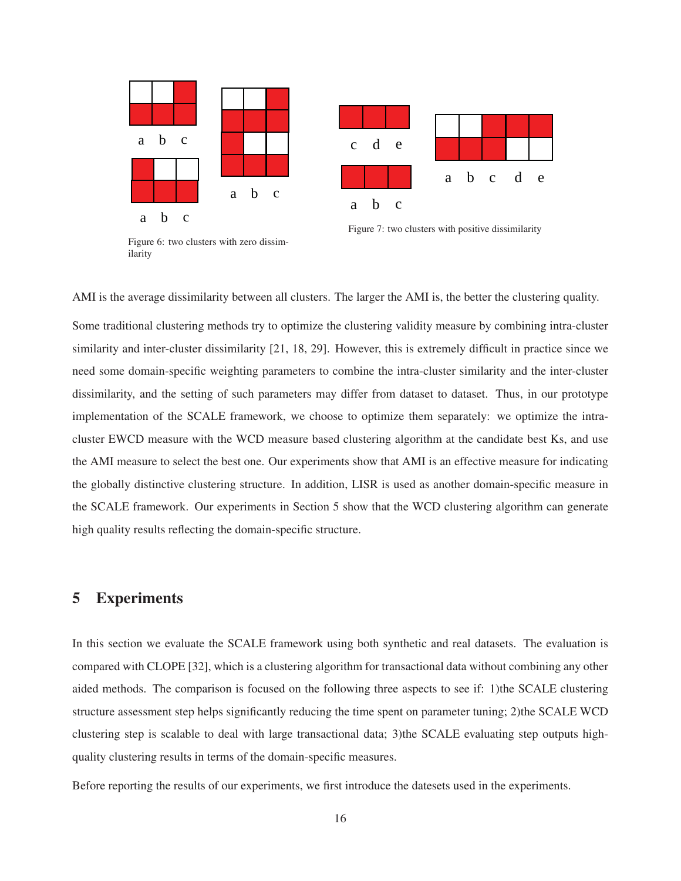

Figure 6: two clusters with zero dissimilarity

Figure 7: two clusters with positive dissimilarity

AMI is the average dissimilarity between all clusters. The larger the AMI is, the better the clustering quality.

Some traditional clustering methods try to optimize the clustering validity measure by combining intra-cluster similarity and inter-cluster dissimilarity [21, 18, 29]. However, this is extremely difficult in practice since we need some domain-specific weighting parameters to combine the intra-cluster similarity and the inter-cluster dissimilarity, and the setting of such parameters may differ from dataset to dataset. Thus, in our prototype implementation of the SCALE framework, we choose to optimize them separately: we optimize the intracluster EWCD measure with the WCD measure based clustering algorithm at the candidate best Ks, and use the AMI measure to select the best one. Our experiments show that AMI is an effective measure for indicating the globally distinctive clustering structure. In addition, LISR is used as another domain-specific measure in the SCALE framework. Our experiments in Section 5 show that the WCD clustering algorithm can generate high quality results reflecting the domain-specific structure.

#### 5 Experiments

In this section we evaluate the SCALE framework using both synthetic and real datasets. The evaluation is compared with CLOPE [32], which is a clustering algorithm for transactional data without combining any other aided methods. The comparison is focused on the following three aspects to see if: 1)the SCALE clustering structure assessment step helps significantly reducing the time spent on parameter tuning; 2)the SCALE WCD clustering step is scalable to deal with large transactional data; 3)the SCALE evaluating step outputs highquality clustering results in terms of the domain-specific measures.

Before reporting the results of our experiments, we first introduce the datesets used in the experiments.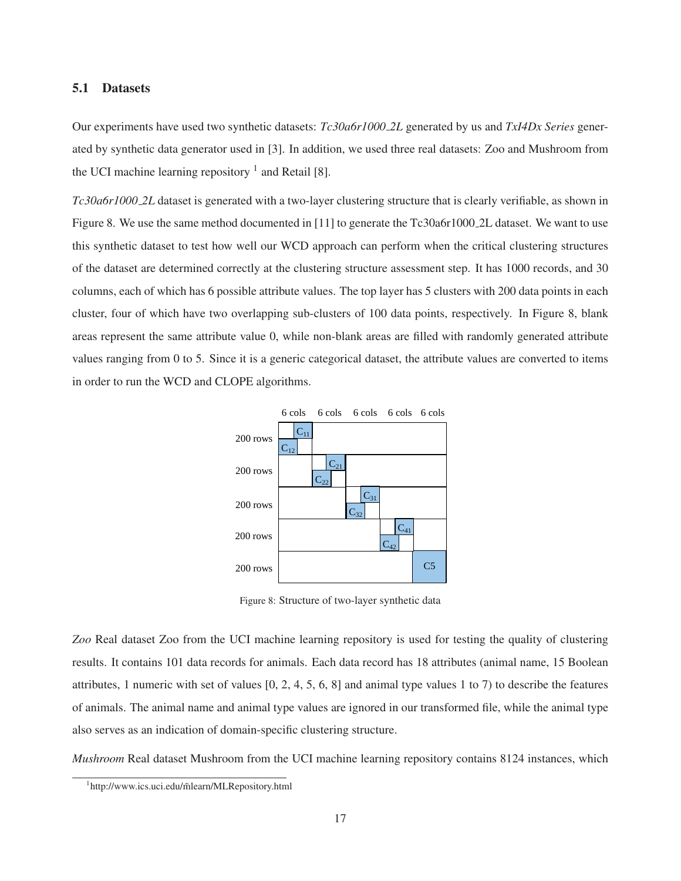#### 5.1 Datasets

Our experiments have used two synthetic datasets: *Tc30a6r1000 2L* generated by us and *TxI4Dx Series* generated by synthetic data generator used in [3]. In addition, we used three real datasets: Zoo and Mushroom from the UCI machine learning repository  $<sup>1</sup>$  and Retail [8].</sup>

*Tc30a6r1000 2L* dataset is generated with a two-layer clustering structure that is clearly verifiable, as shown in Figure 8. We use the same method documented in [11] to generate the Tc30a6r1000 2L dataset. We want to use this synthetic dataset to test how well our WCD approach can perform when the critical clustering structures of the dataset are determined correctly at the clustering structure assessment step. It has 1000 records, and 30 columns, each of which has 6 possible attribute values. The top layer has 5 clusters with 200 data points in each cluster, four of which have two overlapping sub-clusters of 100 data points, respectively. In Figure 8, blank areas represent the same attribute value 0, while non-blank areas are filled with randomly generated attribute values ranging from 0 to 5. Since it is a generic categorical dataset, the attribute values are converted to items in order to run the WCD and CLOPE algorithms.



Figure 8: Structure of two-layer synthetic data

*Zoo* Real dataset Zoo from the UCI machine learning repository is used for testing the quality of clustering results. It contains 101 data records for animals. Each data record has 18 attributes (animal name, 15 Boolean attributes, 1 numeric with set of values  $[0, 2, 4, 5, 6, 8]$  and animal type values 1 to 7) to describe the features of animals. The animal name and animal type values are ignored in our transformed file, while the animal type also serves as an indication of domain-specific clustering structure.

*Mushroom* Real dataset Mushroom from the UCI machine learning repository contains 8124 instances, which

<sup>&</sup>lt;sup>1</sup>http://www.ics.uci.edu/m̃learn/MLRepository.html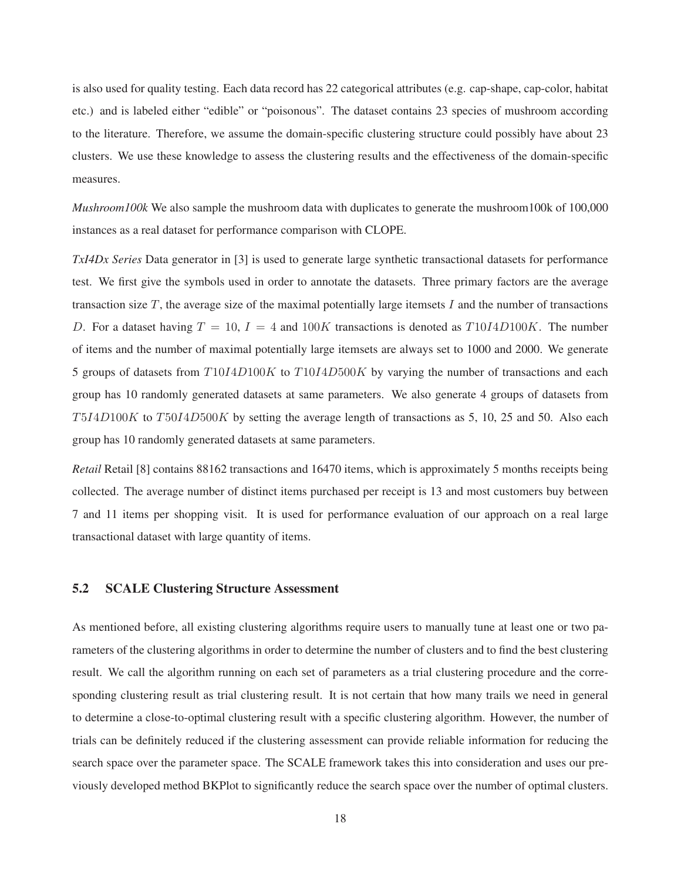is also used for quality testing. Each data record has 22 categorical attributes (e.g. cap-shape, cap-color, habitat etc.) and is labeled either "edible" or "poisonous". The dataset contains 23 species of mushroom according to the literature. Therefore, we assume the domain-specific clustering structure could possibly have about 23 clusters. We use these knowledge to assess the clustering results and the effectiveness of the domain-specific measures.

*Mushroom100k* We also sample the mushroom data with duplicates to generate the mushroom100k of 100,000 instances as a real dataset for performance comparison with CLOPE.

*TxI4Dx Series* Data generator in [3] is used to generate large synthetic transactional datasets for performance test. We first give the symbols used in order to annotate the datasets. Three primary factors are the average transaction size  $T$ , the average size of the maximal potentially large itemsets  $I$  and the number of transactions D. For a dataset having  $T = 10$ ,  $I = 4$  and  $100K$  transactions is denoted as  $T10I4D100K$ . The number of items and the number of maximal potentially large itemsets are always set to 1000 and 2000. We generate 5 groups of datasets from  $T10I4D100K$  to  $T10I4D500K$  by varying the number of transactions and each group has 10 randomly generated datasets at same parameters. We also generate 4 groups of datasets from  $T5I4D100K$  to  $T50I4D500K$  by setting the average length of transactions as 5, 10, 25 and 50. Also each group has 10 randomly generated datasets at same parameters.

*Retail* Retail [8] contains 88162 transactions and 16470 items, which is approximately 5 months receipts being collected. The average number of distinct items purchased per receipt is 13 and most customers buy between 7 and 11 items per shopping visit. It is used for performance evaluation of our approach on a real large transactional dataset with large quantity of items.

#### 5.2 SCALE Clustering Structure Assessment

As mentioned before, all existing clustering algorithms require users to manually tune at least one or two parameters of the clustering algorithms in order to determine the number of clusters and to find the best clustering result. We call the algorithm running on each set of parameters as a trial clustering procedure and the corresponding clustering result as trial clustering result. It is not certain that how many trails we need in general to determine a close-to-optimal clustering result with a specific clustering algorithm. However, the number of trials can be definitely reduced if the clustering assessment can provide reliable information for reducing the search space over the parameter space. The SCALE framework takes this into consideration and uses our previously developed method BKPlot to significantly reduce the search space over the number of optimal clusters.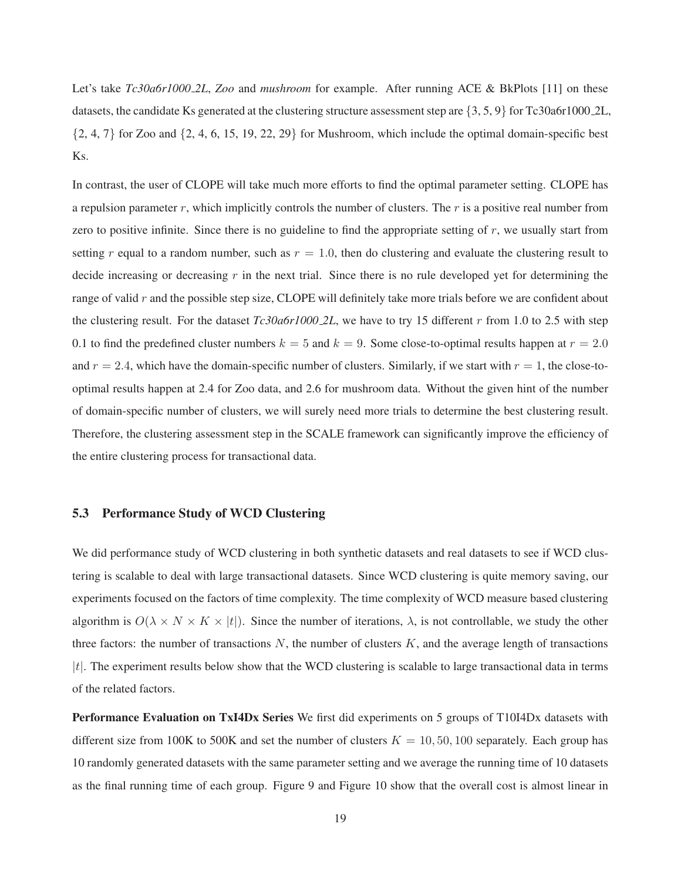Let's take *Tc30a6r1000 2L*, *Zoo* and *mushroom* for example. After running ACE & BkPlots [11] on these datasets, the candidate Ks generated at the clustering structure assessment step are  $\{3, 5, 9\}$  for Tc30a6r1000 2L,  $\{2, 4, 7\}$  for Zoo and  $\{2, 4, 6, 15, 19, 22, 29\}$  for Mushroom, which include the optimal domain-specific best Ks.

In contrast, the user of CLOPE will take much more efforts to find the optimal parameter setting. CLOPE has a repulsion parameter  $r$ , which implicitly controls the number of clusters. The  $r$  is a positive real number from zero to positive infinite. Since there is no guideline to find the appropriate setting of  $r$ , we usually start from setting r equal to a random number, such as  $r = 1.0$ , then do clustering and evaluate the clustering result to decide increasing or decreasing  $r$  in the next trial. Since there is no rule developed yet for determining the range of valid  $r$  and the possible step size, CLOPE will definitely take more trials before we are confident about the clustering result. For the dataset *Tc30a6r1000 2L*, we have to try 15 different r from 1.0 to 2.5 with step 0.1 to find the predefined cluster numbers  $k = 5$  and  $k = 9$ . Some close-to-optimal results happen at  $r = 2.0$ and  $r = 2.4$ , which have the domain-specific number of clusters. Similarly, if we start with  $r = 1$ , the close-tooptimal results happen at 2.4 for Zoo data, and 2.6 for mushroom data. Without the given hint of the number of domain-specific number of clusters, we will surely need more trials to determine the best clustering result. Therefore, the clustering assessment step in the SCALE framework can significantly improve the efficiency of the entire clustering process for transactional data.

#### 5.3 Performance Study of WCD Clustering

We did performance study of WCD clustering in both synthetic datasets and real datasets to see if WCD clustering is scalable to deal with large transactional datasets. Since WCD clustering is quite memory saving, our experiments focused on the factors of time complexity. The time complexity of WCD measure based clustering algorithm is  $O(\lambda \times N \times K \times |t|)$ . Since the number of iterations,  $\lambda$ , is not controllable, we study the other three factors: the number of transactions  $N$ , the number of clusters  $K$ , and the average length of transactions  $|t|$ . The experiment results below show that the WCD clustering is scalable to large transactional data in terms of the related factors.

Performance Evaluation on TxI4Dx Series We first did experiments on 5 groups of T10I4Dx datasets with different size from 100K to 500K and set the number of clusters  $K = 10, 50, 100$  separately. Each group has 10 randomly generated datasets with the same parameter setting and we average the running time of 10 datasets as the final running time of each group. Figure 9 and Figure 10 show that the overall cost is almost linear in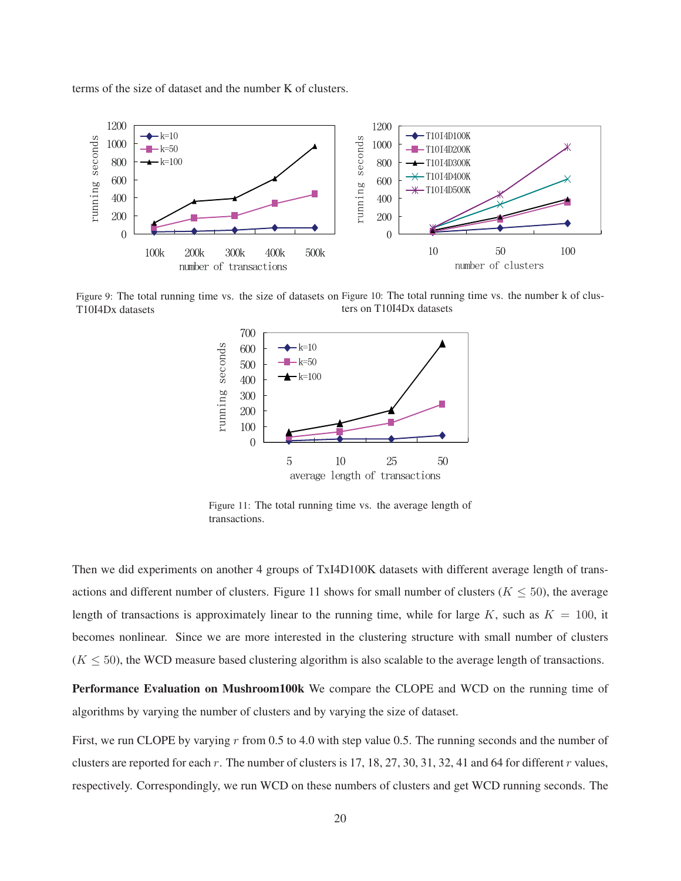terms of the size of dataset and the number K of clusters.



Figure 9: The total running time vs. the size of datasets on Figure 10: The total running time vs. the number k of clus-T10I4Dx datasets ters on T10I4Dx datasets



Figure 11: The total running time vs. the average length of transactions.

Then we did experiments on another 4 groups of TxI4D100K datasets with different average length of transactions and different number of clusters. Figure 11 shows for small number of clusters ( $K \le 50$ ), the average length of transactions is approximately linear to the running time, while for large K, such as  $K = 100$ , it becomes nonlinear. Since we are more interested in the clustering structure with small number of clusters  $(K \le 50)$ , the WCD measure based clustering algorithm is also scalable to the average length of transactions.

Performance Evaluation on Mushroom100k We compare the CLOPE and WCD on the running time of algorithms by varying the number of clusters and by varying the size of dataset.

First, we run CLOPE by varying  $r$  from 0.5 to 4.0 with step value 0.5. The running seconds and the number of clusters are reported for each r. The number of clusters is 17, 18, 27, 30, 31, 32, 41 and 64 for different r values, respectively. Correspondingly, we run WCD on these numbers of clusters and get WCD running seconds. The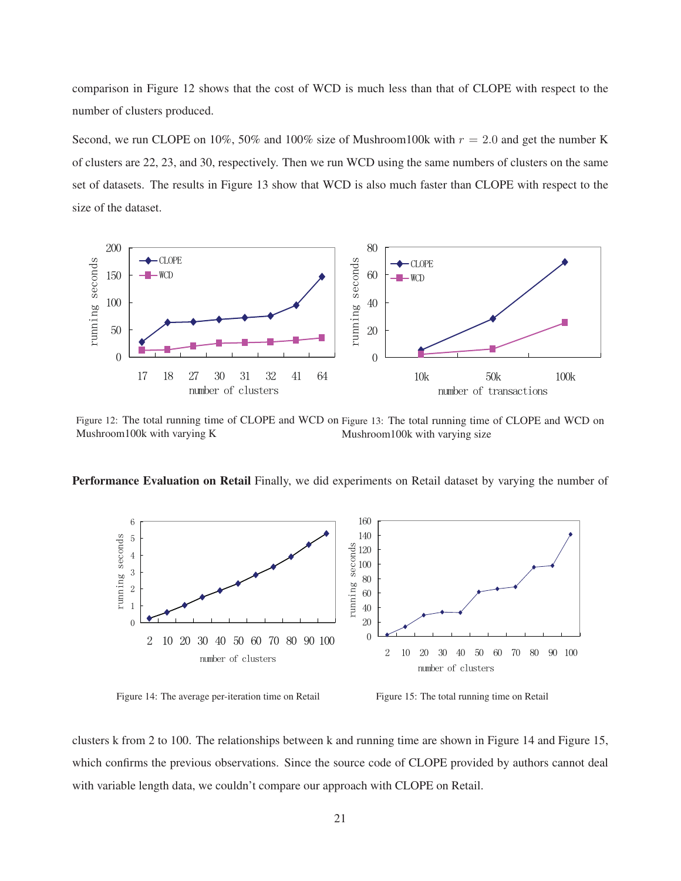comparison in Figure 12 shows that the cost of WCD is much less than that of CLOPE with respect to the number of clusters produced.

Second, we run CLOPE on 10%, 50% and 100% size of Mushroom100k with  $r = 2.0$  and get the number K of clusters are 22, 23, and 30, respectively. Then we run WCD using the same numbers of clusters on the same set of datasets. The results in Figure 13 show that WCD is also much faster than CLOPE with respect to the size of the dataset.



Figure 12: The total running time of CLOPE and WCD on Figure 13: The total running time of CLOPE and WCD on Mushroom100k with varying K Mushroom100k with varying size

Performance Evaluation on Retail Finally, we did experiments on Retail dataset by varying the number of



Figure 14: The average per-iteration time on Retail

Figure 15: The total running time on Retail

clusters k from 2 to 100. The relationships between k and running time are shown in Figure 14 and Figure 15, which confirms the previous observations. Since the source code of CLOPE provided by authors cannot deal with variable length data, we couldn't compare our approach with CLOPE on Retail.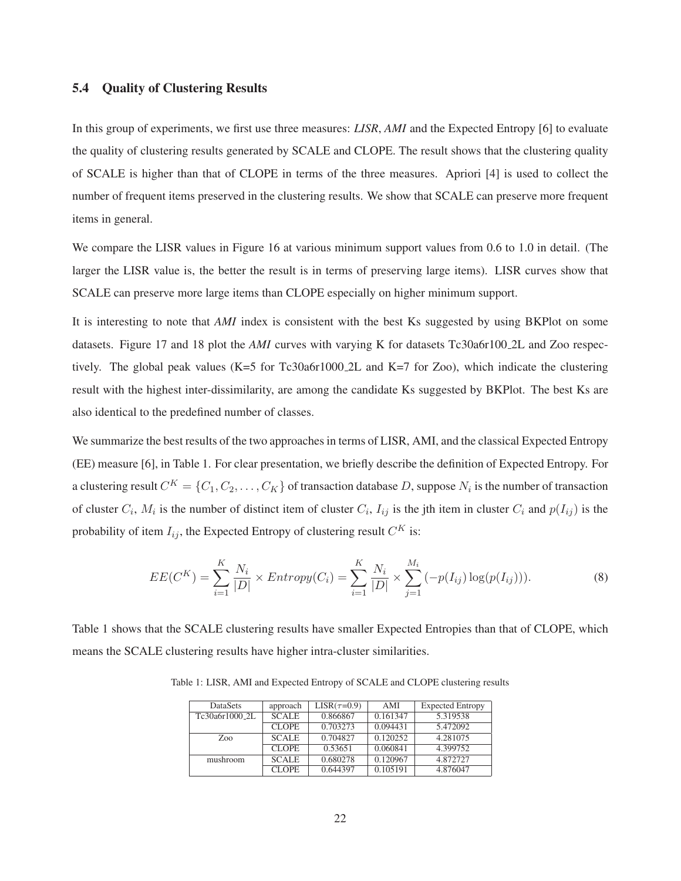#### 5.4 Quality of Clustering Results

In this group of experiments, we first use three measures: *LISR*, *AMI* and the Expected Entropy [6] to evaluate the quality of clustering results generated by SCALE and CLOPE. The result shows that the clustering quality of SCALE is higher than that of CLOPE in terms of the three measures. Apriori [4] is used to collect the number of frequent items preserved in the clustering results. We show that SCALE can preserve more frequent items in general.

We compare the LISR values in Figure 16 at various minimum support values from 0.6 to 1.0 in detail. (The larger the LISR value is, the better the result is in terms of preserving large items). LISR curves show that SCALE can preserve more large items than CLOPE especially on higher minimum support.

It is interesting to note that *AMI* index is consistent with the best Ks suggested by using BKPlot on some datasets. Figure 17 and 18 plot the *AMI* curves with varying K for datasets Tc30a6r100<sub>-2L</sub> and Zoo respectively. The global peak values (K=5 for Tc30a6r1000\_2L and K=7 for Zoo), which indicate the clustering result with the highest inter-dissimilarity, are among the candidate Ks suggested by BKPlot. The best Ks are also identical to the predefined number of classes.

We summarize the best results of the two approaches in terms of LISR, AMI, and the classical Expected Entropy (EE) measure [6], in Table 1. For clear presentation, we briefly describe the definition of Expected Entropy. For a clustering result  $C^K = \{C_1, C_2, \ldots, C_K\}$  of transaction database D, suppose  $N_i$  is the number of transaction of cluster  $C_i$ ,  $M_i$  is the number of distinct item of cluster  $C_i$ ,  $I_{ij}$  is the jth item in cluster  $C_i$  and  $p(I_{ij})$  is the probability of item  $I_{ij}$ , the Expected Entropy of clustering result  $C^K$  is:

$$
EE(C^{K}) = \sum_{i=1}^{K} \frac{N_i}{|D|} \times Entropy(C_i) = \sum_{i=1}^{K} \frac{N_i}{|D|} \times \sum_{j=1}^{M_i} (-p(I_{ij}) \log(p(I_{ij}))).
$$
\n(8)

Table 1 shows that the SCALE clustering results have smaller Expected Entropies than that of CLOPE, which means the SCALE clustering results have higher intra-cluster similarities.

| DataSets                   | approach     | $LISTR(\tau=0.9)$ | AMI      | <b>Expected Entropy</b> |
|----------------------------|--------------|-------------------|----------|-------------------------|
| Tc30a6r1000 <sub>-2L</sub> | <b>SCALE</b> | 0.866867          | 0.161347 | 5.319538                |
|                            | <b>CLOPE</b> | 0.703273          | 0.094431 | 5.472092                |
| Zoo                        | <b>SCALE</b> | 0.704827          | 0.120252 | 4.281075                |
|                            | <b>CLOPE</b> | 0.53651           | 0.060841 | 4.399752                |
| mushroom                   | <b>SCALE</b> | 0.680278          | 0.120967 | 4.872727                |
|                            | <b>CLOPE</b> | 0.644397          | 0.105191 | 4.876047                |

Table 1: LISR, AMI and Expected Entropy of SCALE and CLOPE clustering results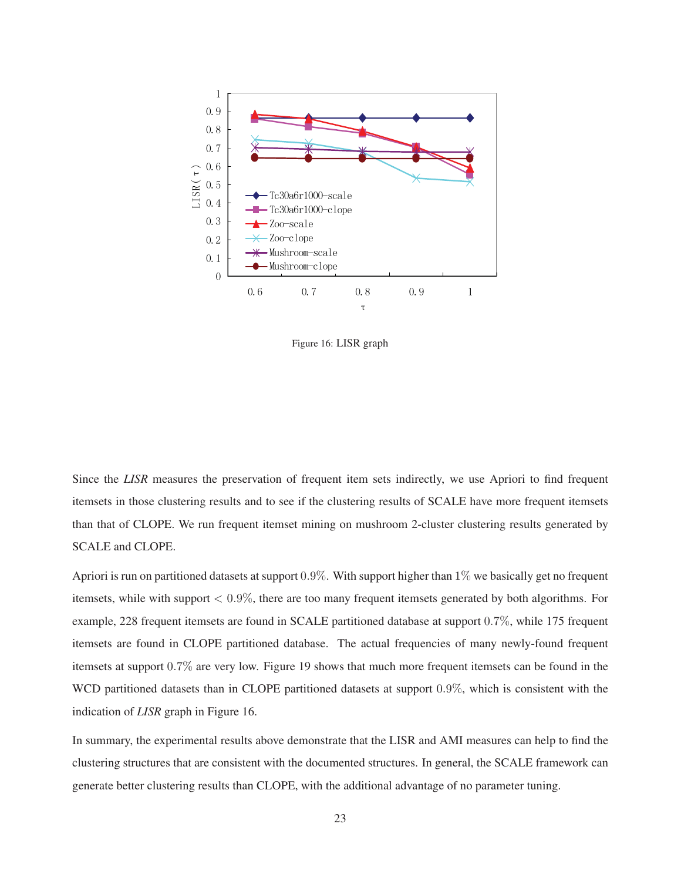

Figure 16: LISR graph

Since the *LISR* measures the preservation of frequent item sets indirectly, we use Apriori to find frequent itemsets in those clustering results and to see if the clustering results of SCALE have more frequent itemsets than that of CLOPE. We run frequent itemset mining on mushroom 2-cluster clustering results generated by SCALE and CLOPE.

Apriori is run on partitioned datasets at support  $0.9\%$ . With support higher than  $1\%$  we basically get no frequent itemsets, while with support  $< 0.9\%$ , there are too many frequent itemsets generated by both algorithms. For example, 228 frequent itemsets are found in SCALE partitioned database at support 0.7%, while 175 frequent itemsets are found in CLOPE partitioned database. The actual frequencies of many newly-found frequent itemsets at support 0.7% are very low. Figure 19 shows that much more frequent itemsets can be found in the WCD partitioned datasets than in CLOPE partitioned datasets at support  $0.9\%$ , which is consistent with the indication of *LISR* graph in Figure 16.

In summary, the experimental results above demonstrate that the LISR and AMI measures can help to find the clustering structures that are consistent with the documented structures. In general, the SCALE framework can generate better clustering results than CLOPE, with the additional advantage of no parameter tuning.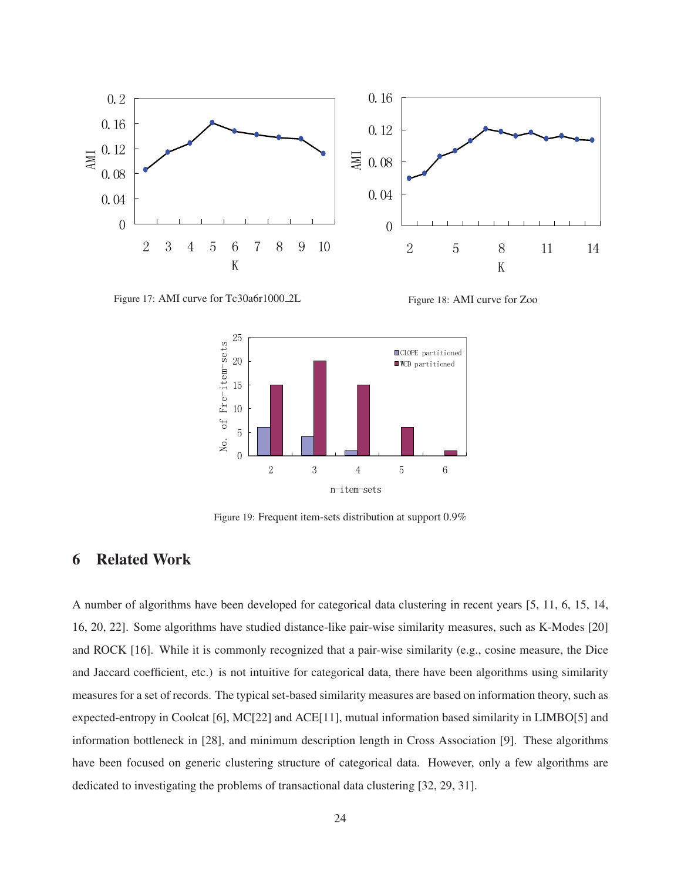

Figure 17: AMI curve for Tc30a6r1000\_2L

Figure 18: AMI curve for Zoo



Figure 19: Frequent item-sets distribution at support 0.9%

# 6 Related Work

A number of algorithms have been developed for categorical data clustering in recent years [5, 11, 6, 15, 14, 16, 20, 22]. Some algorithms have studied distance-like pair-wise similarity measures, such as K-Modes [20] and ROCK [16]. While it is commonly recognized that a pair-wise similarity (e.g., cosine measure, the Dice and Jaccard coefficient, etc.) is not intuitive for categorical data, there have been algorithms using similarity measures for a set of records. The typical set-based similarity measures are based on information theory, such as expected-entropy in Coolcat [6], MC[22] and ACE[11], mutual information based similarity in LIMBO[5] and information bottleneck in [28], and minimum description length in Cross Association [9]. These algorithms have been focused on generic clustering structure of categorical data. However, only a few algorithms are dedicated to investigating the problems of transactional data clustering [32, 29, 31].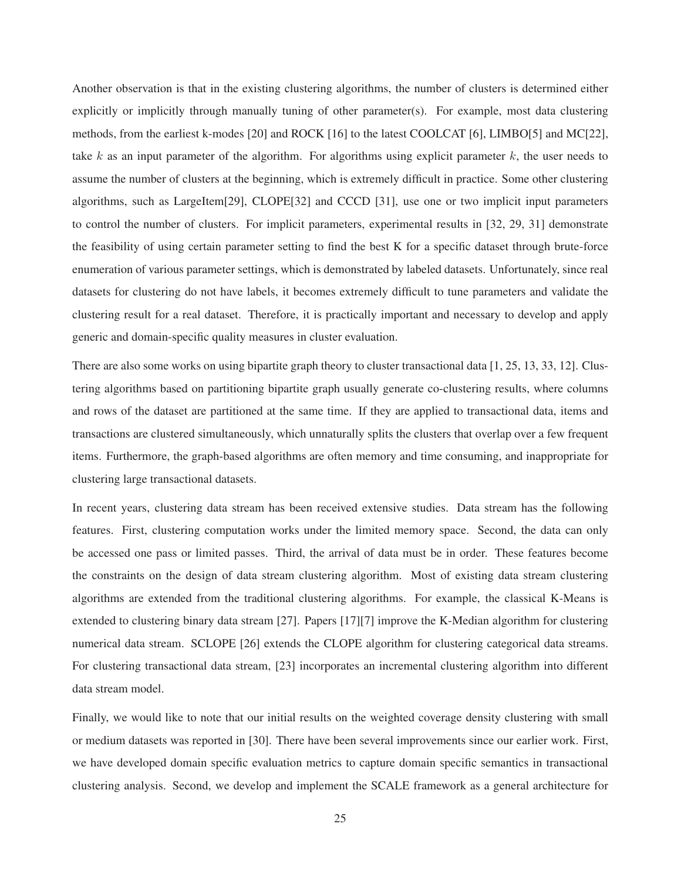Another observation is that in the existing clustering algorithms, the number of clusters is determined either explicitly or implicitly through manually tuning of other parameter(s). For example, most data clustering methods, from the earliest k-modes [20] and ROCK [16] to the latest COOLCAT [6], LIMBO[5] and MC[22], take k as an input parameter of the algorithm. For algorithms using explicit parameter  $k$ , the user needs to assume the number of clusters at the beginning, which is extremely difficult in practice. Some other clustering algorithms, such as LargeItem[29], CLOPE[32] and CCCD [31], use one or two implicit input parameters to control the number of clusters. For implicit parameters, experimental results in [32, 29, 31] demonstrate the feasibility of using certain parameter setting to find the best K for a specific dataset through brute-force enumeration of various parameter settings, which is demonstrated by labeled datasets. Unfortunately, since real datasets for clustering do not have labels, it becomes extremely difficult to tune parameters and validate the clustering result for a real dataset. Therefore, it is practically important and necessary to develop and apply generic and domain-specific quality measures in cluster evaluation.

There are also some works on using bipartite graph theory to cluster transactional data [1, 25, 13, 33, 12]. Clustering algorithms based on partitioning bipartite graph usually generate co-clustering results, where columns and rows of the dataset are partitioned at the same time. If they are applied to transactional data, items and transactions are clustered simultaneously, which unnaturally splits the clusters that overlap over a few frequent items. Furthermore, the graph-based algorithms are often memory and time consuming, and inappropriate for clustering large transactional datasets.

In recent years, clustering data stream has been received extensive studies. Data stream has the following features. First, clustering computation works under the limited memory space. Second, the data can only be accessed one pass or limited passes. Third, the arrival of data must be in order. These features become the constraints on the design of data stream clustering algorithm. Most of existing data stream clustering algorithms are extended from the traditional clustering algorithms. For example, the classical K-Means is extended to clustering binary data stream [27]. Papers [17][7] improve the K-Median algorithm for clustering numerical data stream. SCLOPE [26] extends the CLOPE algorithm for clustering categorical data streams. For clustering transactional data stream, [23] incorporates an incremental clustering algorithm into different data stream model.

Finally, we would like to note that our initial results on the weighted coverage density clustering with small or medium datasets was reported in [30]. There have been several improvements since our earlier work. First, we have developed domain specific evaluation metrics to capture domain specific semantics in transactional clustering analysis. Second, we develop and implement the SCALE framework as a general architecture for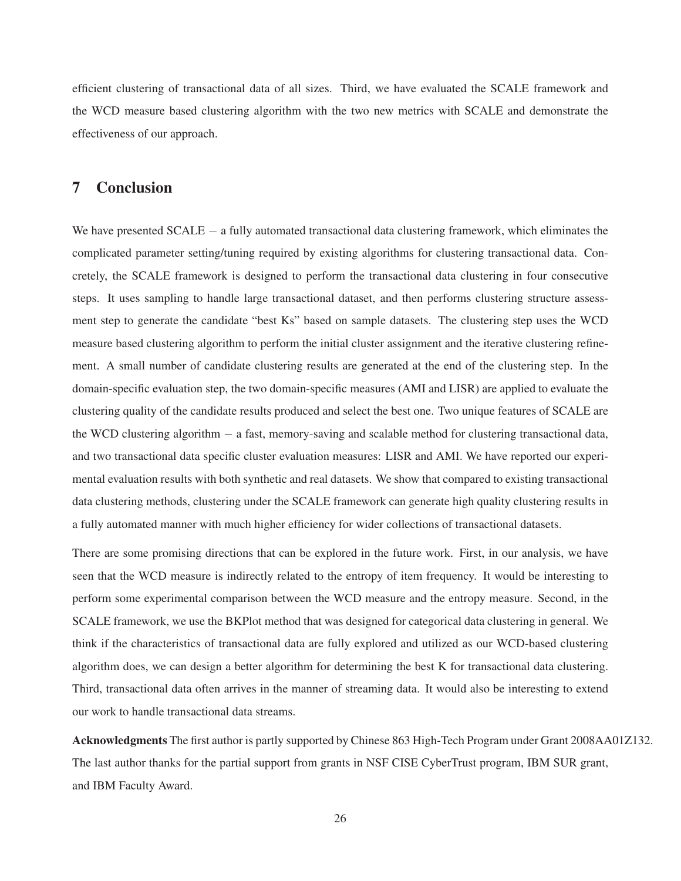efficient clustering of transactional data of all sizes. Third, we have evaluated the SCALE framework and the WCD measure based clustering algorithm with the two new metrics with SCALE and demonstrate the effectiveness of our approach.

### 7 Conclusion

We have presented SCALE − a fully automated transactional data clustering framework, which eliminates the complicated parameter setting/tuning required by existing algorithms for clustering transactional data. Concretely, the SCALE framework is designed to perform the transactional data clustering in four consecutive steps. It uses sampling to handle large transactional dataset, and then performs clustering structure assessment step to generate the candidate "best Ks" based on sample datasets. The clustering step uses the WCD measure based clustering algorithm to perform the initial cluster assignment and the iterative clustering refinement. A small number of candidate clustering results are generated at the end of the clustering step. In the domain-specific evaluation step, the two domain-specific measures (AMI and LISR) are applied to evaluate the clustering quality of the candidate results produced and select the best one. Two unique features of SCALE are the WCD clustering algorithm − a fast, memory-saving and scalable method for clustering transactional data, and two transactional data specific cluster evaluation measures: LISR and AMI. We have reported our experimental evaluation results with both synthetic and real datasets. We show that compared to existing transactional data clustering methods, clustering under the SCALE framework can generate high quality clustering results in a fully automated manner with much higher efficiency for wider collections of transactional datasets.

There are some promising directions that can be explored in the future work. First, in our analysis, we have seen that the WCD measure is indirectly related to the entropy of item frequency. It would be interesting to perform some experimental comparison between the WCD measure and the entropy measure. Second, in the SCALE framework, we use the BKPlot method that was designed for categorical data clustering in general. We think if the characteristics of transactional data are fully explored and utilized as our WCD-based clustering algorithm does, we can design a better algorithm for determining the best K for transactional data clustering. Third, transactional data often arrives in the manner of streaming data. It would also be interesting to extend our work to handle transactional data streams.

Acknowledgments The first author is partly supported by Chinese 863 High-Tech Program under Grant 2008AA01Z132. The last author thanks for the partial support from grants in NSF CISE CyberTrust program, IBM SUR grant, and IBM Faculty Award.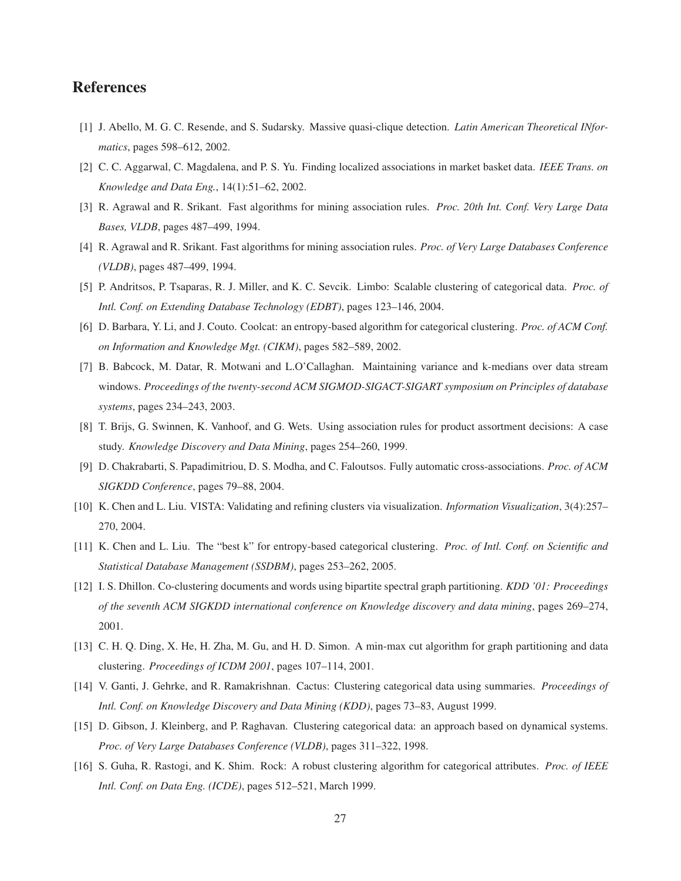# References

- [1] J. Abello, M. G. C. Resende, and S. Sudarsky. Massive quasi-clique detection. *Latin American Theoretical INformatics*, pages 598–612, 2002.
- [2] C. C. Aggarwal, C. Magdalena, and P. S. Yu. Finding localized associations in market basket data. *IEEE Trans. on Knowledge and Data Eng.*, 14(1):51–62, 2002.
- [3] R. Agrawal and R. Srikant. Fast algorithms for mining association rules. *Proc. 20th Int. Conf. Very Large Data Bases, VLDB*, pages 487–499, 1994.
- [4] R. Agrawal and R. Srikant. Fast algorithms for mining association rules. *Proc. of Very Large Databases Conference (VLDB)*, pages 487–499, 1994.
- [5] P. Andritsos, P. Tsaparas, R. J. Miller, and K. C. Sevcik. Limbo: Scalable clustering of categorical data. *Proc. of Intl. Conf. on Extending Database Technology (EDBT)*, pages 123–146, 2004.
- [6] D. Barbara, Y. Li, and J. Couto. Coolcat: an entropy-based algorithm for categorical clustering. *Proc. of ACM Conf. on Information and Knowledge Mgt. (CIKM)*, pages 582–589, 2002.
- [7] B. Babcock, M. Datar, R. Motwani and L.O'Callaghan. Maintaining variance and k-medians over data stream windows. *Proceedings of the twenty-second ACM SIGMOD-SIGACT-SIGART symposium on Principles of database systems*, pages 234–243, 2003.
- [8] T. Brijs, G. Swinnen, K. Vanhoof, and G. Wets. Using association rules for product assortment decisions: A case study. *Knowledge Discovery and Data Mining*, pages 254–260, 1999.
- [9] D. Chakrabarti, S. Papadimitriou, D. S. Modha, and C. Faloutsos. Fully automatic cross-associations. *Proc. of ACM SIGKDD Conference*, pages 79–88, 2004.
- [10] K. Chen and L. Liu. VISTA: Validating and refining clusters via visualization. *Information Visualization*, 3(4):257– 270, 2004.
- [11] K. Chen and L. Liu. The "best k" for entropy-based categorical clustering. *Proc. of Intl. Conf. on Scientific and Statistical Database Management (SSDBM)*, pages 253–262, 2005.
- [12] I. S. Dhillon. Co-clustering documents and words using bipartite spectral graph partitioning. *KDD '01: Proceedings of the seventh ACM SIGKDD international conference on Knowledge discovery and data mining*, pages 269–274, 2001.
- [13] C. H. Q. Ding, X. He, H. Zha, M. Gu, and H. D. Simon. A min-max cut algorithm for graph partitioning and data clustering. *Proceedings of ICDM 2001*, pages 107–114, 2001.
- [14] V. Ganti, J. Gehrke, and R. Ramakrishnan. Cactus: Clustering categorical data using summaries. *Proceedings of Intl. Conf. on Knowledge Discovery and Data Mining (KDD)*, pages 73–83, August 1999.
- [15] D. Gibson, J. Kleinberg, and P. Raghavan. Clustering categorical data: an approach based on dynamical systems. *Proc. of Very Large Databases Conference (VLDB)*, pages 311–322, 1998.
- [16] S. Guha, R. Rastogi, and K. Shim. Rock: A robust clustering algorithm for categorical attributes. *Proc. of IEEE Intl. Conf. on Data Eng. (ICDE)*, pages 512–521, March 1999.